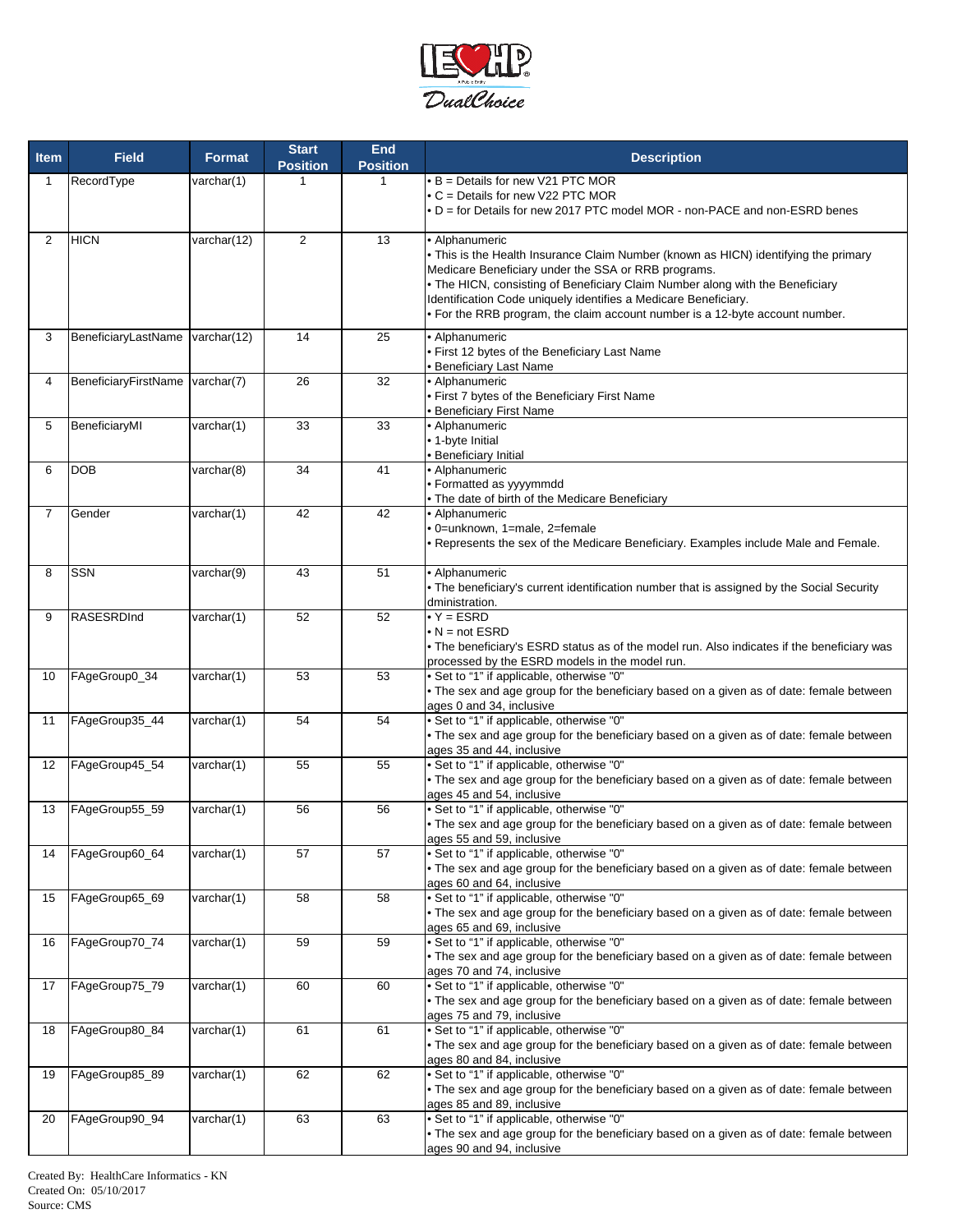

| <b>Item</b>       | <b>Field</b>                    | <b>Format</b> | <b>Start</b><br><b>Position</b> | <b>End</b><br><b>Position</b> | <b>Description</b>                                                                                                                   |
|-------------------|---------------------------------|---------------|---------------------------------|-------------------------------|--------------------------------------------------------------------------------------------------------------------------------------|
| 1                 | RecordType                      | varchar(1)    | 1                               | 1                             | • B = Details for new V21 PTC MOR                                                                                                    |
|                   |                                 |               |                                 |                               | • C = Details for new V22 PTC MOR<br>• D = for Details for new 2017 PTC model MOR - non-PACE and non-ESRD benes                      |
|                   |                                 |               |                                 |                               |                                                                                                                                      |
| $\overline{2}$    | <b>HICN</b>                     | varchar(12)   | $\overline{2}$                  | 13                            | • Alphanumeric                                                                                                                       |
|                   |                                 |               |                                 |                               | • This is the Health Insurance Claim Number (known as HICN) identifying the primary                                                  |
|                   |                                 |               |                                 |                               | Medicare Beneficiary under the SSA or RRB programs.<br>. The HICN, consisting of Beneficiary Claim Number along with the Beneficiary |
|                   |                                 |               |                                 |                               | Identification Code uniquely identifies a Medicare Beneficiary.                                                                      |
|                   |                                 |               |                                 |                               | • For the RRB program, the claim account number is a 12-byte account number.                                                         |
| 3                 | BeneficiaryLastName varchar(12) |               | 14                              | 25                            | • Alphanumeric                                                                                                                       |
|                   |                                 |               |                                 |                               | · First 12 bytes of the Beneficiary Last Name                                                                                        |
|                   |                                 |               |                                 |                               | • Beneficiary Last Name                                                                                                              |
| 4                 | BeneficiaryFirstName varchar(7) |               | 26                              | 32                            | · Alphanumeric<br>. First 7 bytes of the Beneficiary First Name                                                                      |
|                   |                                 |               |                                 |                               | <b>Beneficiary First Name</b>                                                                                                        |
| 5                 | BeneficiaryMI                   | varchar(1)    | 33                              | 33                            | · Alphanumeric                                                                                                                       |
|                   |                                 |               |                                 |                               | • 1-byte Initial                                                                                                                     |
| 6                 | <b>DOB</b>                      | varchar(8)    | 34                              | 41                            | <b>Beneficiary Initial</b><br>· Alphanumeric                                                                                         |
|                   |                                 |               |                                 |                               | • Formatted as yyyymmdd                                                                                                              |
|                   |                                 |               |                                 |                               | . The date of birth of the Medicare Beneficiary                                                                                      |
| 7                 | Gender                          | varchar(1)    | 42                              | 42                            | • Alphanumeric                                                                                                                       |
|                   |                                 |               |                                 |                               | · 0=unknown, 1=male, 2=female<br>. Represents the sex of the Medicare Beneficiary. Examples include Male and Female.                 |
|                   |                                 |               |                                 |                               |                                                                                                                                      |
| 8                 | <b>SSN</b>                      | varchar(9)    | 43                              | 51                            | · Alphanumeric                                                                                                                       |
|                   |                                 |               |                                 |                               | • The beneficiary's current identification number that is assigned by the Social Security                                            |
|                   |                                 |               |                                 |                               | dministration.<br>$\overline{Y}$ = ESRD                                                                                              |
| 9                 | RASESRDInd                      | varchar(1)    | 52                              | 52                            | $\bullet$ N = not ESRD                                                                                                               |
|                   |                                 |               |                                 |                               | . The beneficiary's ESRD status as of the model run. Also indicates if the beneficiary was                                           |
|                   |                                 |               |                                 |                               | processed by the ESRD models in the model run.                                                                                       |
| 10                | FAgeGroup0_34                   | varchar(1)    | 53                              | 53                            | • Set to "1" if applicable, otherwise "0"                                                                                            |
|                   |                                 |               |                                 |                               | . The sex and age group for the beneficiary based on a given as of date: female between<br>ages 0 and 34, inclusive                  |
| 11                | FAgeGroup35_44                  | varchar(1)    | 54                              | 54                            | • Set to "1" if applicable, otherwise "0"                                                                                            |
|                   |                                 |               |                                 |                               | . The sex and age group for the beneficiary based on a given as of date: female between                                              |
|                   | FAgeGroup45_54                  | varchar(1)    | 55                              | 55                            | ages 35 and 44, inclusive<br>• Set to "1" if applicable, otherwise "0"                                                               |
| $12 \overline{ }$ |                                 |               |                                 |                               | . The sex and age group for the beneficiary based on a given as of date: female between                                              |
|                   |                                 |               |                                 |                               | ages 45 and 54, inclusive                                                                                                            |
| 13                | FAgeGroup55_59                  | varchar(1)    | 56                              | 56                            | • Set to "1" if applicable, otherwise "0"                                                                                            |
|                   |                                 |               |                                 |                               | . The sex and age group for the beneficiary based on a given as of date: female between                                              |
| 14                | FAgeGroup60_64                  | varchar(1)    | 57                              | 57                            | ages 55 and 59, inclusive<br>• Set to "1" if applicable, otherwise "0"                                                               |
|                   |                                 |               |                                 |                               | . The sex and age group for the beneficiary based on a given as of date: female between                                              |
|                   |                                 |               |                                 |                               | ages 60 and 64, inclusive                                                                                                            |
| 15                | FAgeGroup65_69                  | varchar(1)    | 58                              | 58                            | • Set to "1" if applicable, otherwise "0"                                                                                            |
|                   |                                 |               |                                 |                               | • The sex and age group for the beneficiary based on a given as of date: female between<br>ages 65 and 69, inclusive                 |
| 16                | FAgeGroup70_74                  | varchar(1)    | 59                              | 59                            | • Set to "1" if applicable, otherwise "0"                                                                                            |
|                   |                                 |               |                                 |                               | • The sex and age group for the beneficiary based on a given as of date: female between                                              |
|                   |                                 |               |                                 |                               | ages 70 and 74, inclusive                                                                                                            |
| 17                | FAgeGroup75_79                  | varchar(1)    | 60                              | 60                            | • Set to "1" if applicable, otherwise "0"<br>• The sex and age group for the beneficiary based on a given as of date: female between |
|                   |                                 |               |                                 |                               | ages 75 and 79, inclusive                                                                                                            |
| 18                | FAgeGroup80_84                  | varchar(1)    | 61                              | 61                            | • Set to "1" if applicable, otherwise "0"                                                                                            |
|                   |                                 |               |                                 |                               | • The sex and age group for the beneficiary based on a given as of date: female between                                              |
| 19                | FAgeGroup85_89                  | varchar(1)    | 62                              | 62                            | ages 80 and 84, inclusive<br>• Set to "1" if applicable, otherwise "0"                                                               |
|                   |                                 |               |                                 |                               | . The sex and age group for the beneficiary based on a given as of date: female between                                              |
|                   |                                 |               |                                 |                               | ages 85 and 89, inclusive                                                                                                            |
| 20                | FAgeGroup90_94                  | varchar(1)    | 63                              | 63                            | • Set to "1" if applicable, otherwise "0"                                                                                            |
|                   |                                 |               |                                 |                               | . The sex and age group for the beneficiary based on a given as of date: female between<br>ages 90 and 94, inclusive                 |
|                   |                                 |               |                                 |                               |                                                                                                                                      |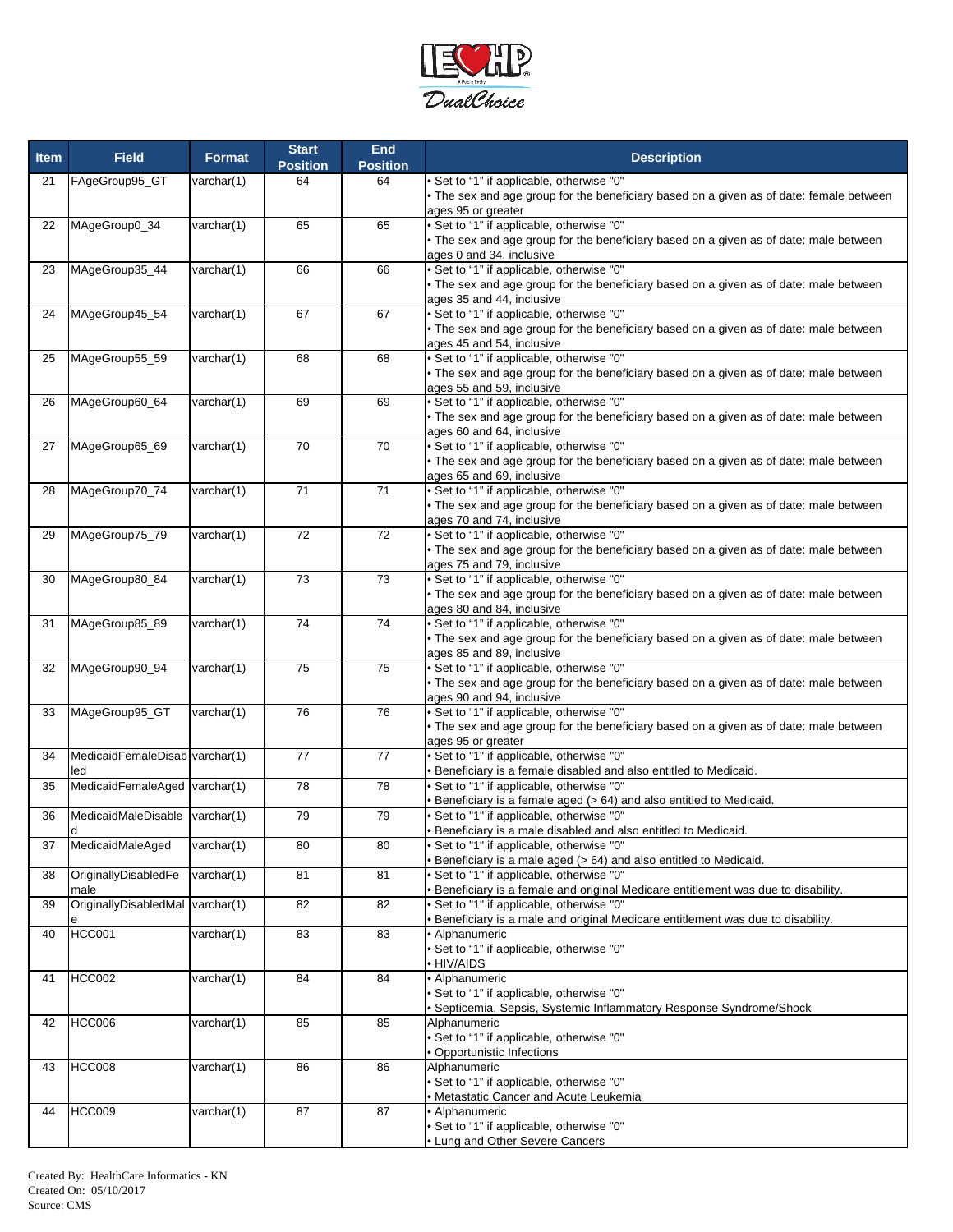

| <b>Item</b> | <b>Field</b>                                            | <b>Format</b>       | <b>Start</b><br><b>Position</b> | End<br><b>Position</b> | <b>Description</b>                                                                                                                                                                                            |
|-------------|---------------------------------------------------------|---------------------|---------------------------------|------------------------|---------------------------------------------------------------------------------------------------------------------------------------------------------------------------------------------------------------|
| 21          | FAgeGroup95_GT                                          | varchar(1)          | 64                              | 64                     | · Set to "1" if applicable, otherwise "0"<br>• The sex and age group for the beneficiary based on a given as of date: female between                                                                          |
| 22          | MAgeGroup0_34                                           | varchar(1)          | 65                              | 65                     | ages 95 or greater<br>• Set to "1" if applicable, otherwise "0"<br>• The sex and age group for the beneficiary based on a given as of date: male between                                                      |
| 23          | MAgeGroup35_44                                          | varchar(1)          | 66                              | 66                     | ages 0 and 34, inclusive<br>• Set to "1" if applicable, otherwise "0"<br>. The sex and age group for the beneficiary based on a given as of date: male between                                                |
| 24          | MAgeGroup45_54                                          | varchar(1)          | 67                              | 67                     | ages 35 and 44, inclusive<br>• Set to "1" if applicable, otherwise "0"<br>. The sex and age group for the beneficiary based on a given as of date: male between                                               |
| 25          | MAgeGroup55_59                                          | varchar(1)          | 68                              | 68                     | ages 45 and 54, inclusive<br>• Set to "1" if applicable, otherwise "0"                                                                                                                                        |
|             |                                                         |                     | 69                              |                        | . The sex and age group for the beneficiary based on a given as of date: male between<br>ages 55 and 59, inclusive                                                                                            |
| 26          | MAgeGroup60_64                                          | varchar(1)          |                                 | 69                     | • Set to "1" if applicable, otherwise "0"<br>• The sex and age group for the beneficiary based on a given as of date: male between<br>ages 60 and 64, inclusive                                               |
| 27          | MAgeGroup65_69                                          | varchar(1)          | $\overline{70}$                 | 70                     | · Set to "1" if applicable, otherwise "0"<br>• The sex and age group for the beneficiary based on a given as of date: male between<br>ages 65 and 69, inclusive                                               |
| 28          | MAgeGroup70_74                                          | varchar(1)          | $\overline{71}$                 | $\overline{71}$        | • Set to "1" if applicable, otherwise "0"<br>. The sex and age group for the beneficiary based on a given as of date: male between<br>ages 70 and 74, inclusive                                               |
| 29          | MAgeGroup75_79                                          | varchar(1)          | 72                              | 72                     | • Set to "1" if applicable, otherwise "0"<br>The sex and age group for the beneficiary based on a given as of date: male between<br>ages 75 and 79, inclusive                                                 |
| 30          | MAgeGroup80_84                                          | varchar(1)          | 73                              | 73                     | Set to "1" if applicable, otherwise "0"<br>• The sex and age group for the beneficiary based on a given as of date: male between<br>ages 80 and 84, inclusive                                                 |
| 31          | MAgeGroup85_89                                          | varchar(1)          | 74                              | 74                     | Set to "1" if applicable, otherwise "0"<br>. The sex and age group for the beneficiary based on a given as of date: male between                                                                              |
| 32          | MAgeGroup90_94                                          | varchar(1)          | 75                              | 75                     | ages 85 and 89, inclusive<br>• Set to "1" if applicable, otherwise "0"<br>. The sex and age group for the beneficiary based on a given as of date: male between                                               |
| 33          | MAgeGroup95_GT                                          | varchar(1)          | 76                              | 76                     | ages 90 and 94, inclusive<br>• Set to "1" if applicable, otherwise "0"<br>The sex and age group for the beneficiary based on a given as of date: male between                                                 |
| 34          | MedicaidFemaleDisab varchar(1)<br>led                   |                     | $\overline{77}$                 | 77                     | ages 95 or greater<br>• Set to "1" if applicable, otherwise "0"<br>Beneficiary is a female disabled and also entitled to Medicaid.                                                                            |
| 35          | MedicaidFemaleAged varchar(1)                           |                     | 78                              | 78                     | Set to "1" if applicable, otherwise "0"<br>Beneficiary is a female aged (> 64) and also entitled to Medicaid.                                                                                                 |
| 36<br>37    | MedicaidMaleDisable varchar(1)<br>d<br>MedicaidMaleAged | $\text{varchar}(1)$ | 79<br>80                        | 79<br>80               | • Set to "1" if applicable, otherwise "0"<br>Beneficiary is a male disabled and also entitled to Medicaid.<br>• Set to "1" if applicable, otherwise "0"                                                       |
| 38          | OriginallyDisabledFe                                    | varchar(1)          | 81                              | 81                     | Beneficiary is a male aged (> 64) and also entitled to Medicaid.<br>Set to "1" if applicable, otherwise "0"                                                                                                   |
| 39          | male<br>OriginallyDisabledMal varchar(1)                |                     | 82                              | 82                     | Beneficiary is a female and original Medicare entitlement was due to disability.<br>Set to "1" if applicable, otherwise "0"<br>Beneficiary is a male and original Medicare entitlement was due to disability. |
| 40          | <b>HCC001</b>                                           | varchar(1)          | 83                              | 83                     | Alphanumeric<br>Set to "1" if applicable, otherwise "0"<br>HIV/AIDS                                                                                                                                           |
| 41          | <b>HCC002</b>                                           | varchar(1)          | 84                              | 84                     | · Alphanumeric<br>Set to "1" if applicable, otherwise "0"<br>Septicemia, Sepsis, Systemic Inflammatory Response Syndrome/Shock                                                                                |
| 42          | <b>HCC006</b>                                           | varchar(1)          | 85                              | 85                     | Alphanumeric<br>• Set to "1" if applicable, otherwise "0"<br>Opportunistic Infections                                                                                                                         |
| 43          | <b>HCC008</b>                                           | varchar(1)          | 86                              | 86                     | Alphanumeric<br>• Set to "1" if applicable, otherwise "0"                                                                                                                                                     |
| 44          | <b>HCC009</b>                                           | varchar(1)          | 87                              | 87                     | Metastatic Cancer and Acute Leukemia<br>Alphanumeric<br>Set to "1" if applicable, otherwise "0"<br>Lung and Other Severe Cancers                                                                              |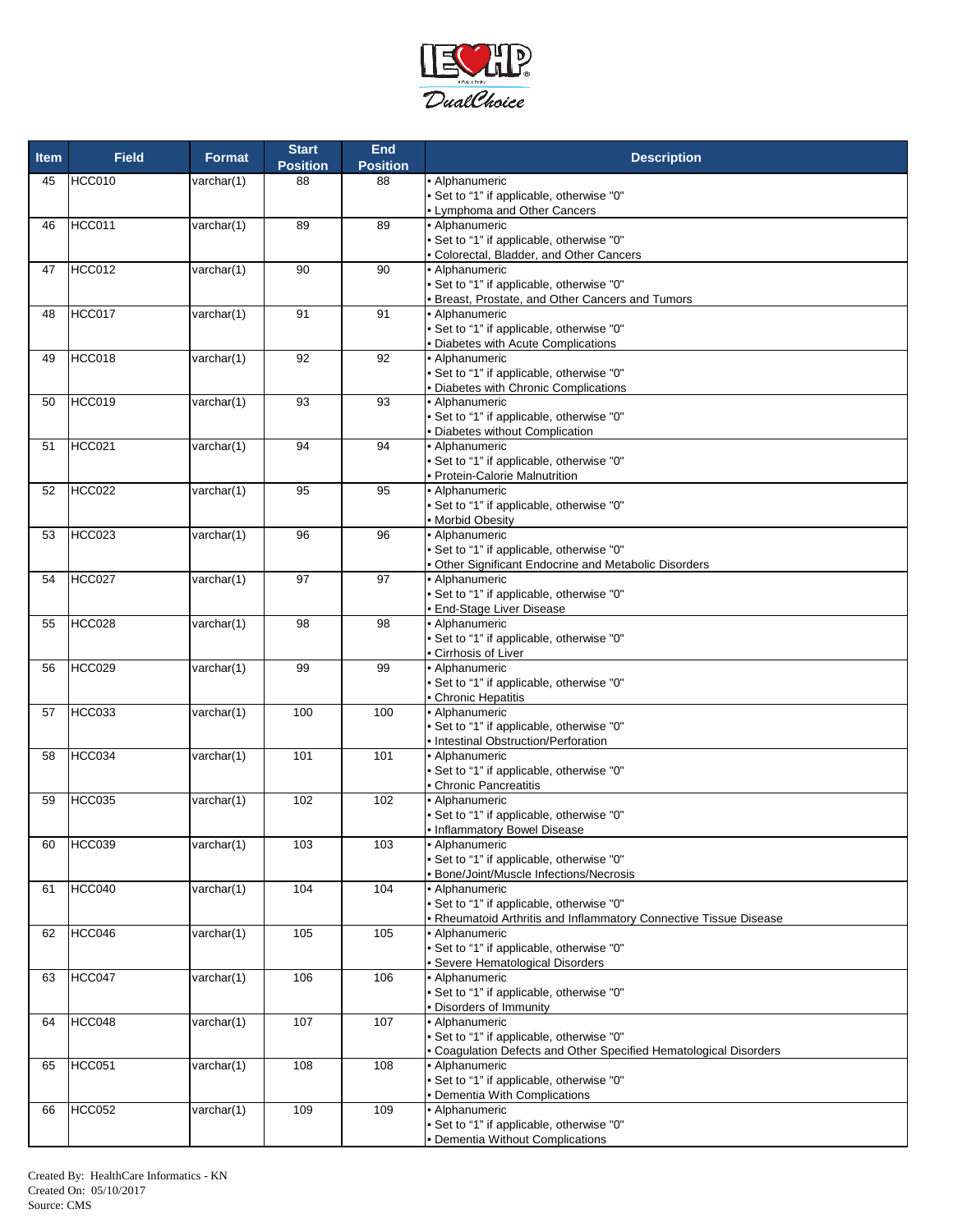

| <b>Item</b> | <b>Field</b>  | <b>Format</b>       | <b>Start</b><br><b>Position</b> | <b>End</b><br><b>Position</b> | <b>Description</b>                                                      |
|-------------|---------------|---------------------|---------------------------------|-------------------------------|-------------------------------------------------------------------------|
| 45          | HCC010        | varchar(1)          | 88                              | 88                            | · Alphanumeric                                                          |
|             |               |                     |                                 |                               | • Set to "1" if applicable, otherwise "0"                               |
| 46          | HCC011        | varchar(1)          | 89                              | 89                            | • Lymphoma and Other Cancers<br>• Alphanumeric                          |
|             |               |                     |                                 |                               | Set to "1" if applicable, otherwise "0"                                 |
|             |               |                     |                                 |                               | · Colorectal, Bladder, and Other Cancers                                |
| 47          | <b>HCC012</b> | varchar(1)          | 90                              | 90                            | • Alphanumeric                                                          |
|             |               |                     |                                 |                               | • Set to "1" if applicable, otherwise "0"                               |
|             | HCC017        | varchar(1)          | 91                              | 91                            | <b>Breast, Prostate, and Other Cancers and Tumors</b><br>• Alphanumeric |
| 48          |               |                     |                                 |                               | • Set to "1" if applicable, otherwise "0"                               |
|             |               |                     |                                 |                               | · Diabetes with Acute Complications                                     |
| 49          | HCC018        | varchar(1)          | 92                              | 92                            | • Alphanumeric                                                          |
|             |               |                     |                                 |                               | • Set to "1" if applicable, otherwise "0"                               |
|             |               |                     |                                 |                               | · Diabetes with Chronic Complications                                   |
| 50          | HCC019        | varchar(1)          | 93                              | 93                            | • Alphanumeric<br>• Set to "1" if applicable, otherwise "0"             |
|             |               |                     |                                 |                               | • Diabetes without Complication                                         |
| 51          | <b>HCC021</b> | varchar(1)          | 94                              | 94                            | • Alphanumeric                                                          |
|             |               |                     |                                 |                               | • Set to "1" if applicable, otherwise "0"                               |
|             |               |                     |                                 |                               | · Protein-Calorie Malnutrition                                          |
| 52          | HCC022        | varchar(1)          | 95                              | 95                            | • Alphanumeric<br>• Set to "1" if applicable, otherwise "0"             |
|             |               |                     |                                 |                               | · Morbid Obesity                                                        |
| 53          | HCC023        | varchar(1)          | 96                              | 96                            | • Alphanumeric                                                          |
|             |               |                     |                                 |                               | • Set to "1" if applicable, otherwise "0"                               |
|             |               |                     |                                 |                               | . Other Significant Endocrine and Metabolic Disorders                   |
| 54          | <b>HCC027</b> | varchar(1)          | 97                              | 97                            | • Alphanumeric                                                          |
|             |               |                     |                                 |                               | • Set to "1" if applicable, otherwise "0"<br>End-Stage Liver Disease    |
| 55          | <b>HCC028</b> | varchar(1)          | 98                              | 98                            | · Alphanumeric                                                          |
|             |               |                     |                                 |                               | · Set to "1" if applicable, otherwise "0"                               |
|             |               |                     |                                 |                               | Cirrhosis of Liver                                                      |
| 56          | <b>HCC029</b> | varchar(1)          | 99                              | 99                            | • Alphanumeric                                                          |
|             |               |                     |                                 |                               | • Set to "1" if applicable, otherwise "0"<br>Chronic Hepatitis          |
| 57          | <b>HCC033</b> | varchar(1)          | 100                             | 100                           | • Alphanumeric                                                          |
|             |               |                     |                                 |                               | • Set to "1" if applicable, otherwise "0"                               |
|             |               |                     |                                 |                               | · Intestinal Obstruction/Perforation                                    |
| 58          | HCC034        | varchar(1)          | 101                             | 101                           | • Alphanumeric                                                          |
|             |               |                     |                                 |                               | • Set to "1" if applicable, otherwise "0"                               |
| 59          | <b>HCC035</b> | varchar(1)          | 102                             | 102                           | Chronic Pancreatitis<br>• Alphanumeric                                  |
|             |               |                     |                                 |                               | • Set to "1" if applicable, otherwise "0"                               |
|             |               |                     |                                 |                               | • Inflammatory Bowel Disease                                            |
| 60          | HCC039        | varchar $(1)$       | 103                             | 103                           | • Alphanumeric                                                          |
|             |               |                     |                                 |                               | • Set to "1" if applicable, otherwise "0"                               |
| 61          | <b>HCC040</b> | $\text{varchar}(1)$ | 104                             | 104                           | <b>Bone/Joint/Muscle Infections/Necrosis</b><br>• Alphanumeric          |
|             |               |                     |                                 |                               | • Set to "1" if applicable, otherwise "0"                               |
|             |               |                     |                                 |                               | • Rheumatoid Arthritis and Inflammatory Connective Tissue Disease       |
| 62          | HCC046        | $\text{varchar}(1)$ | 105                             | 105                           | • Alphanumeric                                                          |
|             |               |                     |                                 |                               | • Set to "1" if applicable, otherwise "0"                               |
|             |               |                     |                                 |                               | · Severe Hematological Disorders                                        |
| 63          | HCC047        | $\text{varchar}(1)$ | 106                             | 106                           | • Alphanumeric<br>• Set to "1" if applicable, otherwise "0"             |
|             |               |                     |                                 |                               | · Disorders of Immunity                                                 |
| 64          | HCC048        | $\text{varchar}(1)$ | 107                             | 107                           | • Alphanumeric                                                          |
|             |               |                     |                                 |                               | • Set to "1" if applicable, otherwise "0"                               |
|             |               |                     |                                 |                               | · Coagulation Defects and Other Specified Hematological Disorders       |
| 65          | <b>HCC051</b> | $\text{varchar}(1)$ | 108                             | 108                           | · Alphanumeric<br>• Set to "1" if applicable, otherwise "0"             |
|             |               |                     |                                 |                               | · Dementia With Complications                                           |
| 66          | <b>HCC052</b> | $\text{varchar}(1)$ | 109                             | 109                           | · Alphanumeric                                                          |
|             |               |                     |                                 |                               | • Set to "1" if applicable, otherwise "0"                               |
|             |               |                     |                                 |                               | <b>Dementia Without Complications</b>                                   |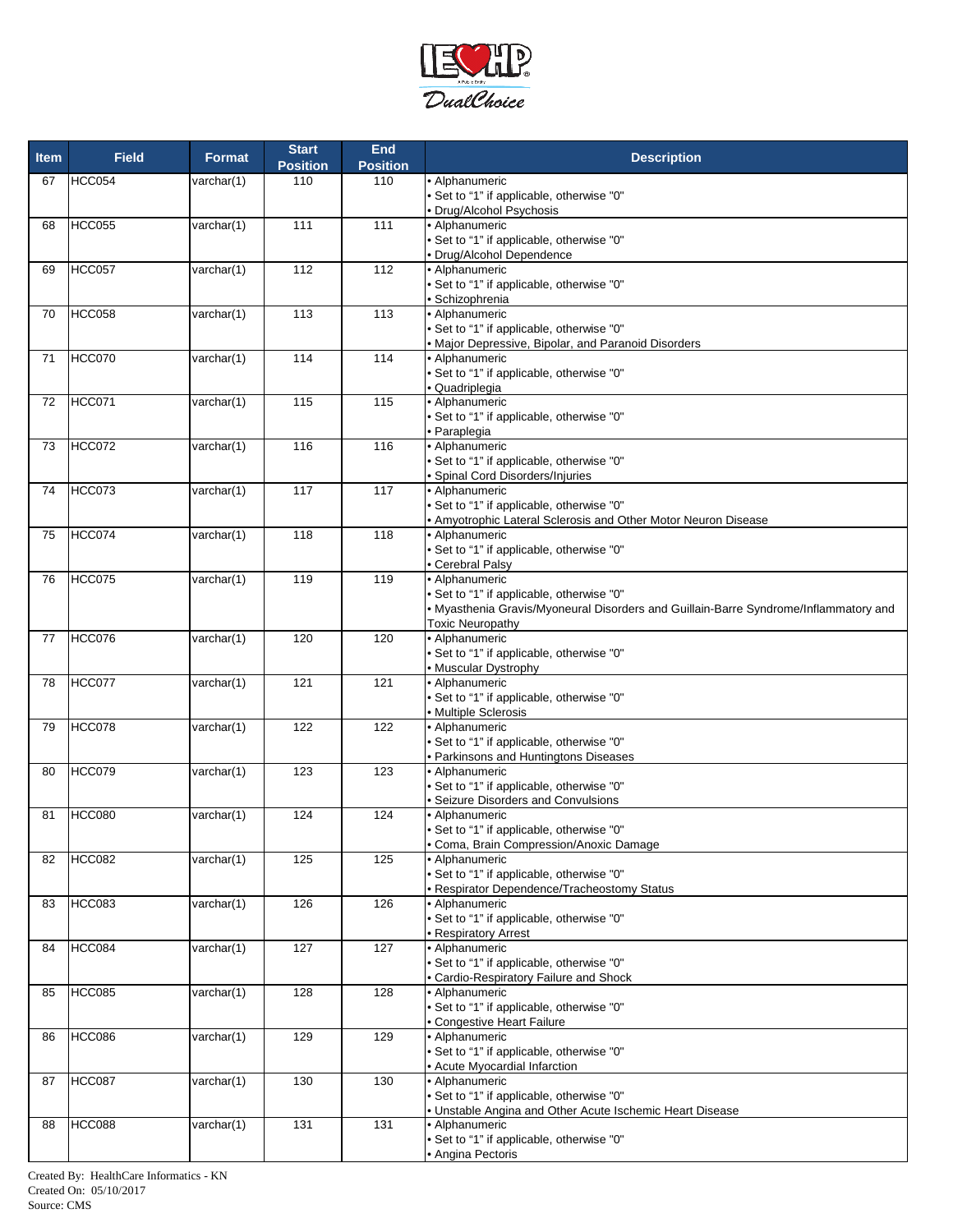

| <b>Item</b> | <b>Field</b>  | <b>Format</b>       | <b>Start</b>    | End             | <b>Description</b>                                                                   |
|-------------|---------------|---------------------|-----------------|-----------------|--------------------------------------------------------------------------------------|
|             |               |                     | <b>Position</b> | <b>Position</b> |                                                                                      |
| 67          | HCC054        | varchar(1)          | 110             | 110             | • Alphanumeric                                                                       |
|             |               |                     |                 |                 | • Set to "1" if applicable, otherwise "0"                                            |
|             |               |                     |                 |                 | · Drug/Alcohol Psychosis                                                             |
| 68          | <b>HCC055</b> | varchar(1)          | 111             | 111             | • Alphanumeric                                                                       |
|             |               |                     |                 |                 | • Set to "1" if applicable, otherwise "0"                                            |
|             |               |                     |                 |                 | • Drug/Alcohol Dependence                                                            |
| 69          | HCC057        | varchar(1)          | 112             | 112             | • Alphanumeric                                                                       |
|             |               |                     |                 |                 | • Set to "1" if applicable, otherwise "0"<br>· Schizophrenia                         |
| 70          | HCC058        | varchar(1)          | 113             | 113             | • Alphanumeric                                                                       |
|             |               |                     |                 |                 | • Set to "1" if applicable, otherwise "0"                                            |
|             |               |                     |                 |                 | • Major Depressive, Bipolar, and Paranoid Disorders                                  |
| 71          | <b>HCC070</b> | varchar(1)          | 114             | 114             | • Alphanumeric                                                                       |
|             |               |                     |                 |                 | • Set to "1" if applicable, otherwise "0"                                            |
|             |               |                     |                 |                 | • Quadriplegia                                                                       |
| 72          | <b>HCC071</b> | varchar(1)          | 115             | 115             | • Alphanumeric                                                                       |
|             |               |                     |                 |                 | • Set to "1" if applicable, otherwise "0"                                            |
|             |               |                     |                 |                 | • Paraplegia                                                                         |
| 73          | HCC072        | varchar(1)          | 116             | 116             | · Alphanumeric                                                                       |
|             |               |                     |                 |                 | • Set to "1" if applicable, otherwise "0"                                            |
|             |               |                     |                 |                 | Spinal Cord Disorders/Injuries                                                       |
| 74          | HCC073        | varchar(1)          | 117             | 117             | • Alphanumeric                                                                       |
|             |               |                     |                 |                 | • Set to "1" if applicable, otherwise "0"                                            |
|             |               |                     |                 |                 | . Amyotrophic Lateral Sclerosis and Other Motor Neuron Disease                       |
| 75          | HCC074        | varchar(1)          | 118             | 118             | • Alphanumeric<br>• Set to "1" if applicable, otherwise "0"                          |
|             |               |                     |                 |                 | • Cerebral Palsy                                                                     |
| 76          | <b>HCC075</b> | varchar(1)          | 119             | 119             | • Alphanumeric                                                                       |
|             |               |                     |                 |                 | • Set to "1" if applicable, otherwise "0"                                            |
|             |               |                     |                 |                 | . Myasthenia Gravis/Myoneural Disorders and Guillain-Barre Syndrome/Inflammatory and |
|             |               |                     |                 |                 | <b>Toxic Neuropathy</b>                                                              |
| 77          | <b>HCC076</b> | varchar(1)          | 120             | 120             | · Alphanumeric                                                                       |
|             |               |                     |                 |                 | • Set to "1" if applicable, otherwise "0"                                            |
|             |               |                     |                 |                 | • Muscular Dystrophy                                                                 |
| 78          | HCC077        | varchar(1)          | 121             | 121             | • Alphanumeric                                                                       |
|             |               |                     |                 |                 | • Set to "1" if applicable, otherwise "0"                                            |
|             |               |                     |                 |                 | • Multiple Sclerosis                                                                 |
| 79          | HCC078        | varchar(1)          | 122             | 122             | • Alphanumeric                                                                       |
|             |               |                     |                 |                 | • Set to "1" if applicable, otherwise "0"                                            |
|             |               |                     |                 |                 | • Parkinsons and Huntingtons Diseases                                                |
| 80          | <b>HCC079</b> | varchar(1)          | 123             | 123             | • Alphanumeric                                                                       |
|             |               |                     |                 |                 | • Set to "1" if applicable, otherwise "0"                                            |
|             | <b>HCC080</b> |                     | 124             | 124             | Seizure Disorders and Convulsions<br>• Alphanumeric                                  |
| 81          |               | varchar(1)          |                 |                 | • Set to "1" if applicable, otherwise "0"                                            |
|             |               |                     |                 |                 | • Coma, Brain Compression/Anoxic Damage                                              |
| 82          | <b>HCC082</b> | varchar(1)          | 125             | 125             | • Alphanumeric                                                                       |
|             |               |                     |                 |                 | • Set to "1" if applicable, otherwise "0"                                            |
|             |               |                     |                 |                 | • Respirator Dependence/Tracheostomy Status                                          |
| 83          | <b>HCC083</b> | varchar(1)          | 126             | 126             | • Alphanumeric                                                                       |
|             |               |                     |                 |                 | • Set to "1" if applicable, otherwise "0"                                            |
|             |               |                     |                 |                 | • Respiratory Arrest                                                                 |
| 84          | HCC084        | varchar(1)          | 127             | 127             | • Alphanumeric                                                                       |
|             |               |                     |                 |                 | • Set to "1" if applicable, otherwise "0"                                            |
|             |               |                     |                 |                 | · Cardio-Respiratory Failure and Shock                                               |
| 85          | <b>HCC085</b> | varchar(1)          | 128             | 128             | • Alphanumeric                                                                       |
|             |               |                     |                 |                 | • Set to "1" if applicable, otherwise "0"                                            |
|             |               |                     |                 |                 | • Congestive Heart Failure                                                           |
| 86          | <b>HCC086</b> | varchar(1)          | 129             | 129             | • Alphanumeric<br>• Set to "1" if applicable, otherwise "0"                          |
|             |               |                     |                 |                 |                                                                                      |
| 87          | <b>HCC087</b> | varchar(1)          | 130             | 130             | • Acute Myocardial Infarction<br>• Alphanumeric                                      |
|             |               |                     |                 |                 | • Set to "1" if applicable, otherwise "0"                                            |
|             |               |                     |                 |                 | . Unstable Angina and Other Acute Ischemic Heart Disease                             |
| 88          | <b>HCC088</b> | $\text{varchar}(1)$ | 131             | 131             | • Alphanumeric                                                                       |
|             |               |                     |                 |                 | • Set to "1" if applicable, otherwise "0"                                            |
|             |               |                     |                 |                 | • Angina Pectoris                                                                    |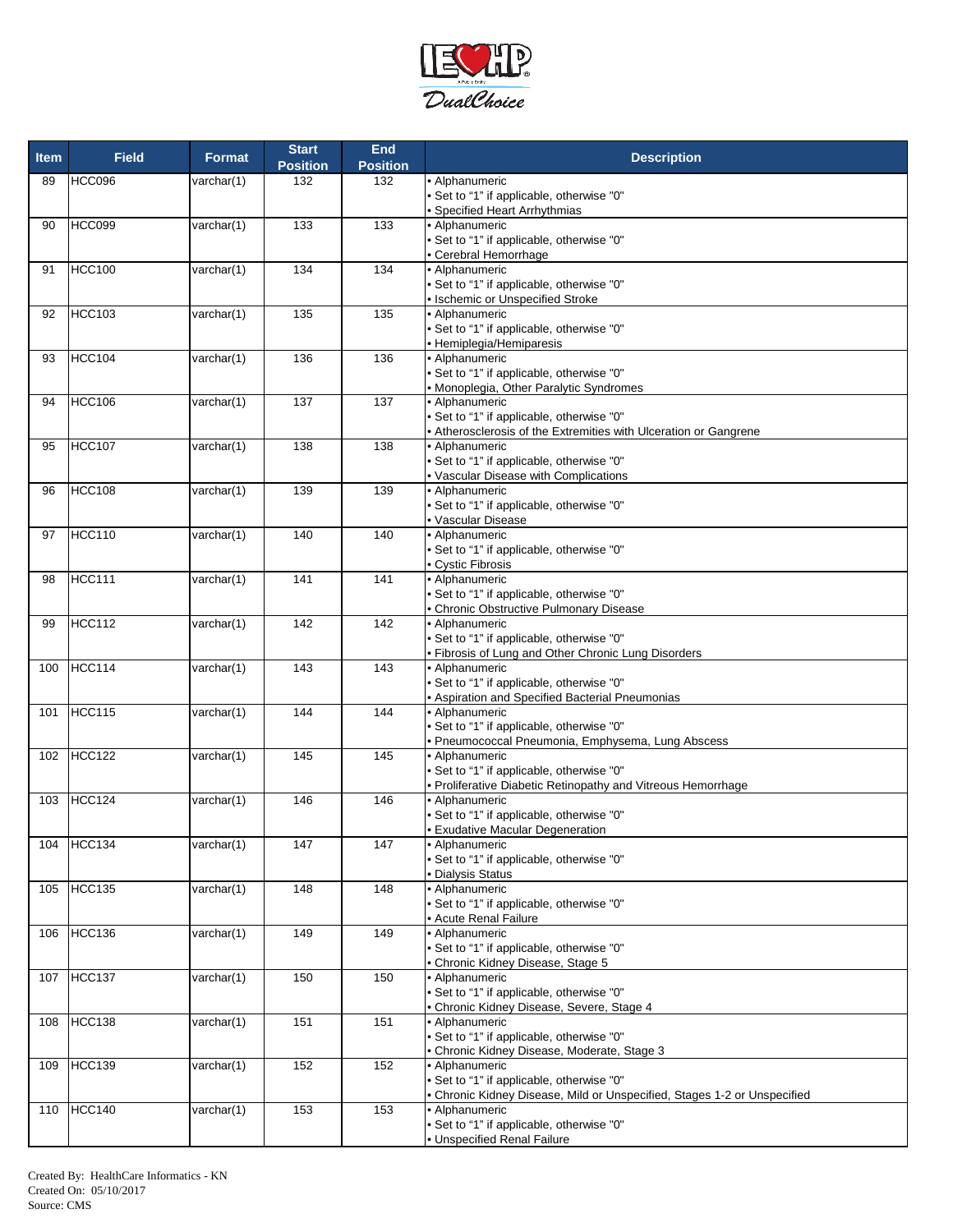

| <b>Item</b> | <b>Field</b>  | <b>Format</b>            | <b>Start</b><br><b>Position</b> | <b>End</b><br><b>Position</b> | <b>Description</b>                                                                       |
|-------------|---------------|--------------------------|---------------------------------|-------------------------------|------------------------------------------------------------------------------------------|
| 89          | HCC096        | varchar(1)               | 132                             | 132                           | • Alphanumeric                                                                           |
|             |               |                          |                                 |                               | • Set to "1" if applicable, otherwise "0"                                                |
| 90          | <b>HCC099</b> |                          | 133                             | 133                           | • Specified Heart Arrhythmias<br>• Alphanumeric                                          |
|             |               | varchar(1)               |                                 |                               | • Set to "1" if applicable, otherwise "0"                                                |
|             |               |                          |                                 |                               | • Cerebral Hemorrhage                                                                    |
| 91          | <b>HCC100</b> | varchar(1)               | 134                             | 134                           | • Alphanumeric                                                                           |
|             |               |                          |                                 |                               | • Set to "1" if applicable, otherwise "0"                                                |
|             |               |                          |                                 |                               | • Ischemic or Unspecified Stroke                                                         |
| 92          | <b>HCC103</b> | varchar(1)               | 135                             | 135                           | · Alphanumeric                                                                           |
|             |               |                          |                                 |                               | • Set to "1" if applicable, otherwise "0"                                                |
| 93          | <b>HCC104</b> | varchar(1)               | 136                             | 136                           | · Hemiplegia/Hemiparesis<br>· Alphanumeric                                               |
|             |               |                          |                                 |                               | • Set to "1" if applicable, otherwise "0"                                                |
|             |               |                          |                                 |                               | • Monoplegia, Other Paralytic Syndromes                                                  |
| 94          | <b>HCC106</b> | varchar(1)               | 137                             | 137                           | • Alphanumeric                                                                           |
|             |               |                          |                                 |                               | • Set to "1" if applicable, otherwise "0"                                                |
|             |               |                          |                                 |                               | • Atherosclerosis of the Extremities with Ulceration or Gangrene                         |
| 95          | <b>HCC107</b> | varchar(1)               | 138                             | 138                           | • Alphanumeric                                                                           |
|             |               |                          |                                 |                               | • Set to "1" if applicable, otherwise "0"                                                |
| 96          | <b>HCC108</b> | varchar(1)               | 139                             | 139                           | • Vascular Disease with Complications<br>• Alphanumeric                                  |
|             |               |                          |                                 |                               | • Set to "1" if applicable, otherwise "0"                                                |
|             |               |                          |                                 |                               | • Vascular Disease                                                                       |
| 97          | <b>HCC110</b> | varchar(1)               | 140                             | 140                           | • Alphanumeric                                                                           |
|             |               |                          |                                 |                               | • Set to "1" if applicable, otherwise "0"                                                |
|             |               |                          |                                 |                               | • Cystic Fibrosis                                                                        |
| 98          | <b>HCC111</b> | varchar(1)               | 141                             | 141                           | • Alphanumeric                                                                           |
|             |               |                          |                                 |                               | • Set to "1" if applicable, otherwise "0"<br>· Chronic Obstructive Pulmonary Disease     |
| 99          | <b>HCC112</b> | varchar(1)               | 142                             | 142                           | • Alphanumeric                                                                           |
|             |               |                          |                                 |                               | • Set to "1" if applicable, otherwise "0"                                                |
|             |               |                          |                                 |                               | • Fibrosis of Lung and Other Chronic Lung Disorders                                      |
| 100         | <b>HCC114</b> | varchar(1)               | 143                             | 143                           | · Alphanumeric                                                                           |
|             |               |                          |                                 |                               | • Set to "1" if applicable, otherwise "0"                                                |
| 101         | <b>HCC115</b> | varchar(1)               | 144                             | 144                           | • Aspiration and Specified Bacterial Pneumonias<br>• Alphanumeric                        |
|             |               |                          |                                 |                               | • Set to "1" if applicable, otherwise "0"                                                |
|             |               |                          |                                 |                               | · Pneumococcal Pneumonia, Emphysema, Lung Abscess                                        |
| 102         | <b>HCC122</b> | varchar(1)               | 145                             | 145                           | • Alphanumeric                                                                           |
|             |               |                          |                                 |                               | • Set to "1" if applicable, otherwise "0"                                                |
|             |               |                          |                                 |                               | • Proliferative Diabetic Retinopathy and Vitreous Hemorrhage                             |
| 103         | <b>HCC124</b> | varchar(1)               | 146                             | 146                           | • Alphanumeric                                                                           |
|             |               |                          |                                 |                               | • Set to "1" if applicable, otherwise "0"<br>• Exudative Macular Degeneration            |
| 104         | HCC134        | varchar(1)               | 147                             | 147                           | • Alphanumeric                                                                           |
|             |               |                          |                                 |                               | • Set to "1" if applicable, otherwise "0"                                                |
|             |               |                          |                                 |                               | · Dialysis Status                                                                        |
| 105         | <b>HCC135</b> | varchar(1)               | 148                             | 148                           | • Alphanumeric                                                                           |
|             |               |                          |                                 |                               | • Set to "1" if applicable, otherwise "0"                                                |
| 106         | <b>HCC136</b> | varchar(1)               | 149                             | 149                           | • Acute Renal Failure<br>• Alphanumeric                                                  |
|             |               |                          |                                 |                               | • Set to "1" if applicable, otherwise "0"                                                |
|             |               |                          |                                 |                               | • Chronic Kidney Disease, Stage 5                                                        |
| 107         | <b>HCC137</b> | varchar(1)               | 150                             | 150                           | · Alphanumeric                                                                           |
|             |               |                          |                                 |                               | • Set to "1" if applicable, otherwise "0"                                                |
|             |               |                          |                                 |                               | Chronic Kidney Disease, Severe, Stage 4                                                  |
| 108         | <b>HCC138</b> | varchar(1)               | 151                             | 151                           | • Alphanumeric                                                                           |
|             |               |                          |                                 |                               | • Set to "1" if applicable, otherwise "0"<br>• Chronic Kidney Disease, Moderate, Stage 3 |
| 109         | <b>HCC139</b> | varchar $\overline{(1)}$ | 152                             | 152                           | • Alphanumeric                                                                           |
|             |               |                          |                                 |                               | • Set to "1" if applicable, otherwise "0"                                                |
|             |               |                          |                                 |                               | · Chronic Kidney Disease, Mild or Unspecified, Stages 1-2 or Unspecified                 |
| 110         | <b>HCC140</b> | varchar(1)               | 153                             | 153                           | • Alphanumeric                                                                           |
|             |               |                          |                                 |                               | • Set to "1" if applicable, otherwise "0"                                                |
|             |               |                          |                                 |                               | • Unspecified Renal Failure                                                              |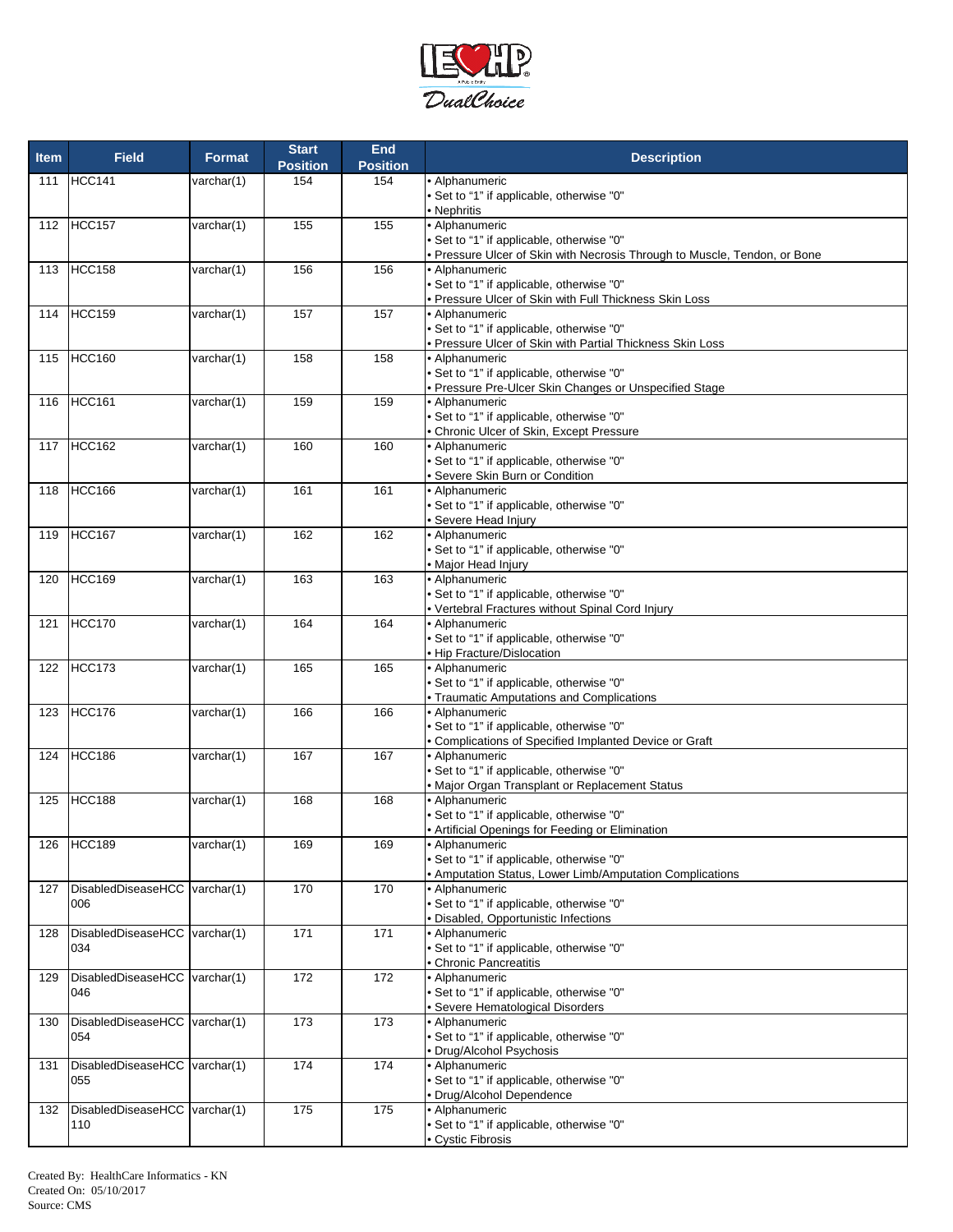

| <b>Item</b> | <b>Field</b>                  | <b>Format</b>       | <b>Start</b><br><b>Position</b> | <b>End</b><br><b>Position</b> | <b>Description</b>                                                                                  |
|-------------|-------------------------------|---------------------|---------------------------------|-------------------------------|-----------------------------------------------------------------------------------------------------|
| 111         | <b>HCC141</b>                 | varchar(1)          | 154                             | 154                           | • Alphanumeric                                                                                      |
|             |                               |                     |                                 |                               | • Set to "1" if applicable, otherwise "0"                                                           |
| 112         | HCC157                        | varchar(1)          | 155                             | 155                           | • Nephritis<br>· Alphanumeric                                                                       |
|             |                               |                     |                                 |                               | • Set to "1" if applicable, otherwise "0"                                                           |
|             |                               |                     |                                 |                               | • Pressure Ulcer of Skin with Necrosis Through to Muscle, Tendon, or Bone                           |
| 113         | <b>HCC158</b>                 | varchar(1)          | 156                             | 156                           | • Alphanumeric                                                                                      |
|             |                               |                     |                                 |                               | • Set to "1" if applicable, otherwise "0"                                                           |
|             | HCC159                        | $\text{varchar}(1)$ | 157                             | 157                           | · Pressure Ulcer of Skin with Full Thickness Skin Loss<br>• Alphanumeric                            |
| 114         |                               |                     |                                 |                               | • Set to "1" if applicable, otherwise "0"                                                           |
|             |                               |                     |                                 |                               | • Pressure Ulcer of Skin with Partial Thickness Skin Loss                                           |
| 115         | HCC160                        | varchar(1)          | 158                             | 158                           | • Alphanumeric                                                                                      |
|             |                               |                     |                                 |                               | • Set to "1" if applicable, otherwise "0"                                                           |
|             |                               |                     |                                 |                               | · Pressure Pre-Ulcer Skin Changes or Unspecified Stage                                              |
| 116         | <b>HCC161</b>                 | varchar(1)          | 159                             | 159                           | · Alphanumeric                                                                                      |
|             |                               |                     |                                 |                               | • Set to "1" if applicable, otherwise "0"<br>• Chronic Ulcer of Skin, Except Pressure               |
| 117         | <b>HCC162</b>                 | varchar(1)          | 160                             | 160                           | · Alphanumeric                                                                                      |
|             |                               |                     |                                 |                               | • Set to "1" if applicable, otherwise "0"                                                           |
|             |                               |                     |                                 |                               | · Severe Skin Burn or Condition                                                                     |
| 118         | <b>HCC166</b>                 | varchar(1)          | 161                             | 161                           | • Alphanumeric                                                                                      |
|             |                               |                     |                                 |                               | . Set to "1" if applicable, otherwise "0"<br>· Severe Head Injury                                   |
| 119         | <b>HCC167</b>                 | varchar(1)          | 162                             | 162                           | • Alphanumeric                                                                                      |
|             |                               |                     |                                 |                               | • Set to "1" if applicable, otherwise "0"                                                           |
|             |                               |                     |                                 |                               | • Major Head Injury                                                                                 |
| 120         | <b>HCC169</b>                 | varchar(1)          | 163                             | 163                           | · Alphanumeric                                                                                      |
|             |                               |                     |                                 |                               | • Set to "1" if applicable, otherwise "0"                                                           |
|             |                               |                     |                                 |                               | • Vertebral Fractures without Spinal Cord Injury                                                    |
| 121         | <b>HCC170</b>                 | varchar(1)          | 164                             | 164                           | • Alphanumeric<br>• Set to "1" if applicable, otherwise "0"                                         |
|             |                               |                     |                                 |                               | • Hip Fracture/Dislocation                                                                          |
| 122         | <b>HCC173</b>                 | varchar(1)          | 165                             | 165                           | · Alphanumeric                                                                                      |
|             |                               |                     |                                 |                               | • Set to "1" if applicable, otherwise "0"                                                           |
|             |                               |                     |                                 |                               | • Traumatic Amputations and Complications                                                           |
| 123         | <b>HCC176</b>                 | varchar(1)          | 166                             | 166                           | • Alphanumeric                                                                                      |
|             |                               |                     |                                 |                               | • Set to "1" if applicable, otherwise "0"<br>• Complications of Specified Implanted Device or Graft |
| 124         | <b>HCC186</b>                 | varchar(1)          | 167                             | 167                           | • Alphanumeric                                                                                      |
|             |                               |                     |                                 |                               | • Set to "1" if applicable, otherwise "0"                                                           |
|             |                               |                     |                                 |                               | · Major Organ Transplant or Replacement Status                                                      |
| 125         | <b>HCC188</b>                 | varchar(1)          | 168                             | 168                           | · Alphanumeric                                                                                      |
|             |                               |                     |                                 |                               | • Set to "1" if applicable, otherwise "0"                                                           |
|             |                               |                     |                                 |                               | • Artificial Openings for Feeding or Elimination                                                    |
| 126         | HCC189                        | varchar $(1)$       | 169                             | 169                           | • Alphanumeric<br>• Set to "1" if applicable, otherwise "0"                                         |
|             |                               |                     |                                 |                               | • Amputation Status, Lower Limb/Amputation Complications                                            |
| 127         | DisabledDiseaseHCC varchar(1) |                     | 170                             | 170                           | • Alphanumeric                                                                                      |
|             | 006                           |                     |                                 |                               | • Set to "1" if applicable, otherwise "0"                                                           |
|             |                               |                     |                                 |                               | · Disabled, Opportunistic Infections                                                                |
| 128         | DisabledDiseaseHCC varchar(1) |                     | 171                             | 171                           | • Alphanumeric                                                                                      |
|             | 034                           |                     |                                 |                               | • Set to "1" if applicable, otherwise "0"<br>• Chronic Pancreatitis                                 |
| 129         | DisabledDiseaseHCC varchar(1) |                     | 172                             | 172                           | · Alphanumeric                                                                                      |
|             | 046                           |                     |                                 |                               | • Set to "1" if applicable, otherwise "0"                                                           |
|             |                               |                     |                                 |                               | · Severe Hematological Disorders                                                                    |
| 130         | DisabledDiseaseHCC varchar(1) |                     | 173                             | 173                           | • Alphanumeric                                                                                      |
|             | 054                           |                     |                                 |                               | • Set to "1" if applicable, otherwise "0"                                                           |
| 131         | DisabledDiseaseHCC varchar(1) |                     | 174                             | 174                           | · Drug/Alcohol Psychosis<br>• Alphanumeric                                                          |
|             | 055                           |                     |                                 |                               | • Set to "1" if applicable, otherwise "0"                                                           |
|             |                               |                     |                                 |                               | · Drug/Alcohol Dependence                                                                           |
| 132         | DisabledDiseaseHCC varchar(1) |                     | 175                             | 175                           | • Alphanumeric                                                                                      |
|             | 110                           |                     |                                 |                               | • Set to "1" if applicable, otherwise "0"                                                           |
|             |                               |                     |                                 |                               | • Cystic Fibrosis                                                                                   |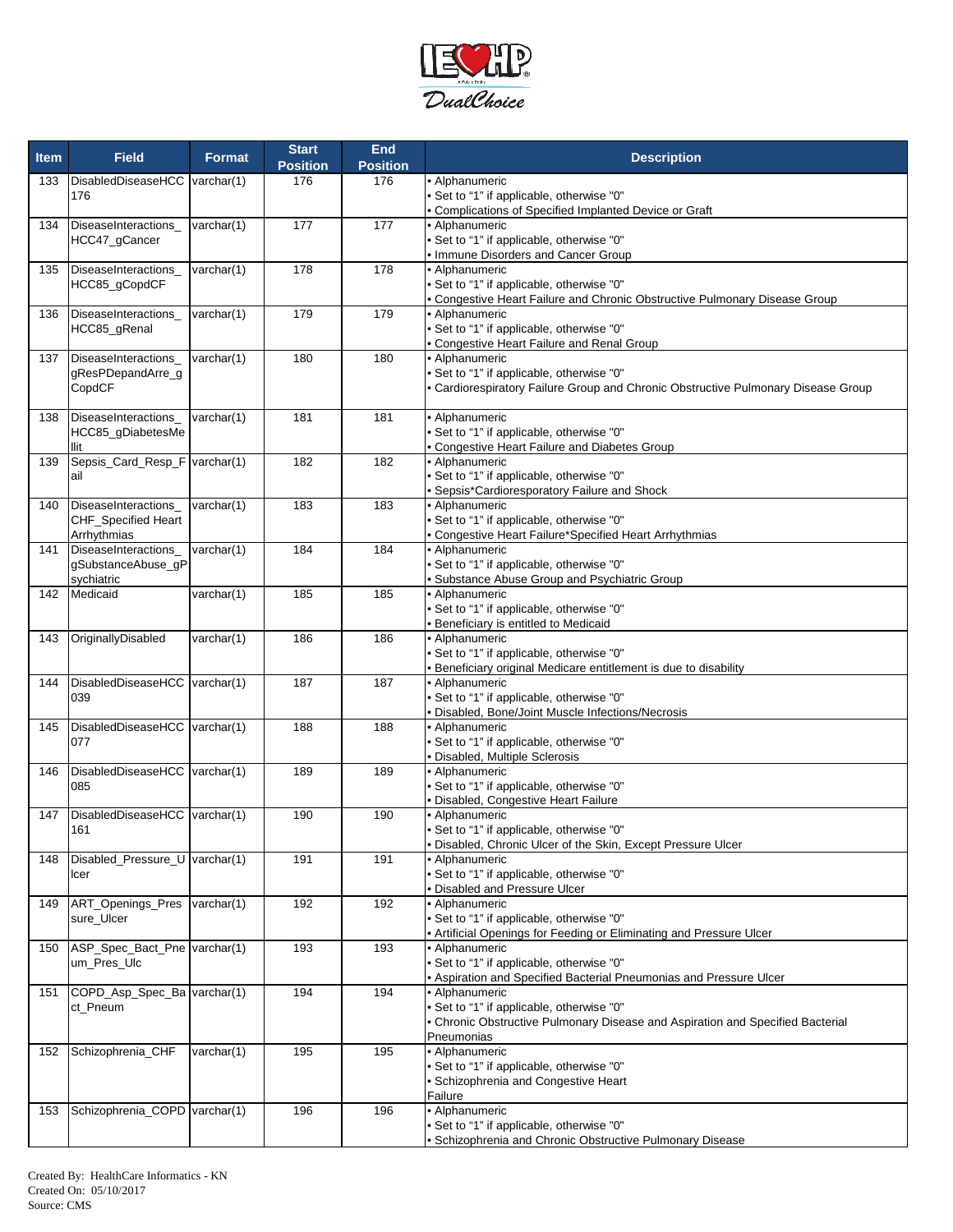

| • Alphanumeric<br>133<br>DisabledDiseaseHCC varchar(1)<br>176<br>176<br>• Set to "1" if applicable, otherwise "0"<br>176<br>Complications of Specified Implanted Device or Graft<br>177<br>177<br>• Alphanumeric<br>DiseaseInteractions<br>varchar(1)<br>134<br>Set to "1" if applicable, otherwise "0"<br>HCC47_gCancer<br>· Immune Disorders and Cancer Group<br>178<br>178<br>• Alphanumeric<br>DiseaseInteractions_<br>varchar(1)<br>135<br>HCC85_gCopdCF<br>• Set to "1" if applicable, otherwise "0"<br>Congestive Heart Failure and Chronic Obstructive Pulmonary Disease Group<br>DiseaseInteractions_<br>179<br>179<br>Alphanumeric<br>varchar(1)<br>136<br>• Set to "1" if applicable, otherwise "0"<br>HCC85_gRenal<br>Congestive Heart Failure and Renal Group<br>180<br>varchar(1)<br>180<br>· Alphanumeric<br>137<br>DiseaseInteractions_<br>gResPDepandArre_g<br>• Set to "1" if applicable, otherwise "0"<br>CopdCF<br>Cardiorespiratory Failure Group and Chronic Obstructive Pulmonary Disease Group<br>181<br>181<br>• Alphanumeric<br>138<br>DiseaseInteractions<br>varchar $(1)$<br>HCC85_gDiabetesMe<br>• Set to "1" if applicable, otherwise "0"<br>Congestive Heart Failure and Diabetes Group<br>llit<br>Sepsis_Card_Resp_F varchar(1)<br>182<br>182<br>• Alphanumeric<br>139<br>Set to "1" if applicable, otherwise "0"<br>ail<br>Sepsis*Cardioresporatory Failure and Shock<br>183<br>varchar(1)<br>183<br>• Alphanumeric<br>140<br>DiseaseInteractions<br>Set to "1" if applicable, otherwise "0"<br><b>CHF_Specified Heart</b><br>Arrhythmias<br>Congestive Heart Failure*Specified Heart Arrhythmias<br>DiseaseInteractions<br>184<br>184<br>• Alphanumeric<br>141<br>varchar(1)<br>Set to "1" if applicable, otherwise "0"<br>gSubstanceAbuse_gP<br>sychiatric<br>Substance Abuse Group and Psychiatric Group<br>185<br>Medicaid<br>varchar(1)<br>185<br>Alphanumeric<br>142<br>Set to "1" if applicable, otherwise "0"<br>Beneficiary is entitled to Medicaid<br>186<br>OriginallyDisabled<br>186<br>· Alphanumeric<br>143<br>varchar(1)<br>Set to "1" if applicable, otherwise "0"<br>Beneficiary original Medicare entitlement is due to disability<br>187<br>DisabledDiseaseHCC varchar(1)<br>187<br>• Alphanumeric<br>144<br>039<br>Set to "1" if applicable, otherwise "0"<br>Disabled, Bone/Joint Muscle Infections/Necrosis<br>DisabledDiseaseHCC varchar(1)<br>188<br>188<br>Alphanumeric<br>145<br>Set to "1" if applicable, otherwise "0"<br>077<br>Disabled, Multiple Sclerosis<br>DisabledDiseaseHCC varchar(1)<br>189<br>· Alphanumeric<br>146<br>189<br>• Set to "1" if applicable, otherwise "0"<br>085<br>Disabled, Congestive Heart Failure<br>DisabledDiseaseHCC varchar(1)<br>190<br>147<br>190<br>• Alphanumeric<br>• Set to "1" if applicable, otherwise "0"<br>161<br>Disabled, Chronic Ulcer of the Skin, Except Pressure Ulcer<br>Disabled_Pressure_U varchar(1)<br>191<br>191<br>· Alphanumeric<br>148<br>Set to "1" if applicable, otherwise "0"<br>lcer<br>Disabled and Pressure Ulcer<br>192<br>ART_Openings_Pres<br>varchar(1)<br>192<br>Alphanumeric<br>149<br>• Set to "1" if applicable, otherwise "0"<br>sure_Ulcer<br>Artificial Openings for Feeding or Eliminating and Pressure Ulcer<br>ASP_Spec_Bact_Pne varchar(1)<br>193<br>193<br>· Alphanumeric<br>150<br>• Set to "1" if applicable, otherwise "0"<br>um_Pres_Ulc<br>. Aspiration and Specified Bacterial Pneumonias and Pressure Ulcer<br>194<br>COPD_Asp_Spec_Ba varchar(1)<br>194<br>• Alphanumeric<br>151<br>• Set to "1" if applicable, otherwise "0"<br>ct_Pneum<br>• Chronic Obstructive Pulmonary Disease and Aspiration and Specified Bacterial<br>Pneumonias<br>195<br>• Alphanumeric<br>Schizophrenia_CHF<br>varchar(1)<br>195<br>152<br>• Set to "1" if applicable, otherwise "0"<br>· Schizophrenia and Congestive Heart<br>Failure<br>· Alphanumeric<br>Schizophrenia_COPD varchar(1)<br>196<br>196<br>153<br>Set to "1" if applicable, otherwise "0" | <b>Item</b> | <b>Field</b> | <b>Format</b> | <b>Start</b><br><b>Position</b> | End<br><b>Position</b> | <b>Description</b>                                        |
|------------------------------------------------------------------------------------------------------------------------------------------------------------------------------------------------------------------------------------------------------------------------------------------------------------------------------------------------------------------------------------------------------------------------------------------------------------------------------------------------------------------------------------------------------------------------------------------------------------------------------------------------------------------------------------------------------------------------------------------------------------------------------------------------------------------------------------------------------------------------------------------------------------------------------------------------------------------------------------------------------------------------------------------------------------------------------------------------------------------------------------------------------------------------------------------------------------------------------------------------------------------------------------------------------------------------------------------------------------------------------------------------------------------------------------------------------------------------------------------------------------------------------------------------------------------------------------------------------------------------------------------------------------------------------------------------------------------------------------------------------------------------------------------------------------------------------------------------------------------------------------------------------------------------------------------------------------------------------------------------------------------------------------------------------------------------------------------------------------------------------------------------------------------------------------------------------------------------------------------------------------------------------------------------------------------------------------------------------------------------------------------------------------------------------------------------------------------------------------------------------------------------------------------------------------------------------------------------------------------------------------------------------------------------------------------------------------------------------------------------------------------------------------------------------------------------------------------------------------------------------------------------------------------------------------------------------------------------------------------------------------------------------------------------------------------------------------------------------------------------------------------------------------------------------------------------------------------------------------------------------------------------------------------------------------------------------------------------------------------------------------------------------------------------------------------------------------------------------------------------------------------------------------------------------------------------------------------------------------------------------------------------------------------------------------------------------------------------------------------------------------------------------------------------------------------------------------------------------------------------------------------------------------------------------------------------------------------------------------------------|-------------|--------------|---------------|---------------------------------|------------------------|-----------------------------------------------------------|
|                                                                                                                                                                                                                                                                                                                                                                                                                                                                                                                                                                                                                                                                                                                                                                                                                                                                                                                                                                                                                                                                                                                                                                                                                                                                                                                                                                                                                                                                                                                                                                                                                                                                                                                                                                                                                                                                                                                                                                                                                                                                                                                                                                                                                                                                                                                                                                                                                                                                                                                                                                                                                                                                                                                                                                                                                                                                                                                                                                                                                                                                                                                                                                                                                                                                                                                                                                                                                                                                                                                                                                                                                                                                                                                                                                                                                                                                                                                                                                                                |             |              |               |                                 |                        |                                                           |
|                                                                                                                                                                                                                                                                                                                                                                                                                                                                                                                                                                                                                                                                                                                                                                                                                                                                                                                                                                                                                                                                                                                                                                                                                                                                                                                                                                                                                                                                                                                                                                                                                                                                                                                                                                                                                                                                                                                                                                                                                                                                                                                                                                                                                                                                                                                                                                                                                                                                                                                                                                                                                                                                                                                                                                                                                                                                                                                                                                                                                                                                                                                                                                                                                                                                                                                                                                                                                                                                                                                                                                                                                                                                                                                                                                                                                                                                                                                                                                                                |             |              |               |                                 |                        |                                                           |
|                                                                                                                                                                                                                                                                                                                                                                                                                                                                                                                                                                                                                                                                                                                                                                                                                                                                                                                                                                                                                                                                                                                                                                                                                                                                                                                                                                                                                                                                                                                                                                                                                                                                                                                                                                                                                                                                                                                                                                                                                                                                                                                                                                                                                                                                                                                                                                                                                                                                                                                                                                                                                                                                                                                                                                                                                                                                                                                                                                                                                                                                                                                                                                                                                                                                                                                                                                                                                                                                                                                                                                                                                                                                                                                                                                                                                                                                                                                                                                                                |             |              |               |                                 |                        |                                                           |
|                                                                                                                                                                                                                                                                                                                                                                                                                                                                                                                                                                                                                                                                                                                                                                                                                                                                                                                                                                                                                                                                                                                                                                                                                                                                                                                                                                                                                                                                                                                                                                                                                                                                                                                                                                                                                                                                                                                                                                                                                                                                                                                                                                                                                                                                                                                                                                                                                                                                                                                                                                                                                                                                                                                                                                                                                                                                                                                                                                                                                                                                                                                                                                                                                                                                                                                                                                                                                                                                                                                                                                                                                                                                                                                                                                                                                                                                                                                                                                                                |             |              |               |                                 |                        |                                                           |
|                                                                                                                                                                                                                                                                                                                                                                                                                                                                                                                                                                                                                                                                                                                                                                                                                                                                                                                                                                                                                                                                                                                                                                                                                                                                                                                                                                                                                                                                                                                                                                                                                                                                                                                                                                                                                                                                                                                                                                                                                                                                                                                                                                                                                                                                                                                                                                                                                                                                                                                                                                                                                                                                                                                                                                                                                                                                                                                                                                                                                                                                                                                                                                                                                                                                                                                                                                                                                                                                                                                                                                                                                                                                                                                                                                                                                                                                                                                                                                                                |             |              |               |                                 |                        |                                                           |
|                                                                                                                                                                                                                                                                                                                                                                                                                                                                                                                                                                                                                                                                                                                                                                                                                                                                                                                                                                                                                                                                                                                                                                                                                                                                                                                                                                                                                                                                                                                                                                                                                                                                                                                                                                                                                                                                                                                                                                                                                                                                                                                                                                                                                                                                                                                                                                                                                                                                                                                                                                                                                                                                                                                                                                                                                                                                                                                                                                                                                                                                                                                                                                                                                                                                                                                                                                                                                                                                                                                                                                                                                                                                                                                                                                                                                                                                                                                                                                                                |             |              |               |                                 |                        |                                                           |
|                                                                                                                                                                                                                                                                                                                                                                                                                                                                                                                                                                                                                                                                                                                                                                                                                                                                                                                                                                                                                                                                                                                                                                                                                                                                                                                                                                                                                                                                                                                                                                                                                                                                                                                                                                                                                                                                                                                                                                                                                                                                                                                                                                                                                                                                                                                                                                                                                                                                                                                                                                                                                                                                                                                                                                                                                                                                                                                                                                                                                                                                                                                                                                                                                                                                                                                                                                                                                                                                                                                                                                                                                                                                                                                                                                                                                                                                                                                                                                                                |             |              |               |                                 |                        |                                                           |
|                                                                                                                                                                                                                                                                                                                                                                                                                                                                                                                                                                                                                                                                                                                                                                                                                                                                                                                                                                                                                                                                                                                                                                                                                                                                                                                                                                                                                                                                                                                                                                                                                                                                                                                                                                                                                                                                                                                                                                                                                                                                                                                                                                                                                                                                                                                                                                                                                                                                                                                                                                                                                                                                                                                                                                                                                                                                                                                                                                                                                                                                                                                                                                                                                                                                                                                                                                                                                                                                                                                                                                                                                                                                                                                                                                                                                                                                                                                                                                                                |             |              |               |                                 |                        |                                                           |
|                                                                                                                                                                                                                                                                                                                                                                                                                                                                                                                                                                                                                                                                                                                                                                                                                                                                                                                                                                                                                                                                                                                                                                                                                                                                                                                                                                                                                                                                                                                                                                                                                                                                                                                                                                                                                                                                                                                                                                                                                                                                                                                                                                                                                                                                                                                                                                                                                                                                                                                                                                                                                                                                                                                                                                                                                                                                                                                                                                                                                                                                                                                                                                                                                                                                                                                                                                                                                                                                                                                                                                                                                                                                                                                                                                                                                                                                                                                                                                                                |             |              |               |                                 |                        |                                                           |
|                                                                                                                                                                                                                                                                                                                                                                                                                                                                                                                                                                                                                                                                                                                                                                                                                                                                                                                                                                                                                                                                                                                                                                                                                                                                                                                                                                                                                                                                                                                                                                                                                                                                                                                                                                                                                                                                                                                                                                                                                                                                                                                                                                                                                                                                                                                                                                                                                                                                                                                                                                                                                                                                                                                                                                                                                                                                                                                                                                                                                                                                                                                                                                                                                                                                                                                                                                                                                                                                                                                                                                                                                                                                                                                                                                                                                                                                                                                                                                                                |             |              |               |                                 |                        |                                                           |
|                                                                                                                                                                                                                                                                                                                                                                                                                                                                                                                                                                                                                                                                                                                                                                                                                                                                                                                                                                                                                                                                                                                                                                                                                                                                                                                                                                                                                                                                                                                                                                                                                                                                                                                                                                                                                                                                                                                                                                                                                                                                                                                                                                                                                                                                                                                                                                                                                                                                                                                                                                                                                                                                                                                                                                                                                                                                                                                                                                                                                                                                                                                                                                                                                                                                                                                                                                                                                                                                                                                                                                                                                                                                                                                                                                                                                                                                                                                                                                                                |             |              |               |                                 |                        |                                                           |
|                                                                                                                                                                                                                                                                                                                                                                                                                                                                                                                                                                                                                                                                                                                                                                                                                                                                                                                                                                                                                                                                                                                                                                                                                                                                                                                                                                                                                                                                                                                                                                                                                                                                                                                                                                                                                                                                                                                                                                                                                                                                                                                                                                                                                                                                                                                                                                                                                                                                                                                                                                                                                                                                                                                                                                                                                                                                                                                                                                                                                                                                                                                                                                                                                                                                                                                                                                                                                                                                                                                                                                                                                                                                                                                                                                                                                                                                                                                                                                                                |             |              |               |                                 |                        |                                                           |
|                                                                                                                                                                                                                                                                                                                                                                                                                                                                                                                                                                                                                                                                                                                                                                                                                                                                                                                                                                                                                                                                                                                                                                                                                                                                                                                                                                                                                                                                                                                                                                                                                                                                                                                                                                                                                                                                                                                                                                                                                                                                                                                                                                                                                                                                                                                                                                                                                                                                                                                                                                                                                                                                                                                                                                                                                                                                                                                                                                                                                                                                                                                                                                                                                                                                                                                                                                                                                                                                                                                                                                                                                                                                                                                                                                                                                                                                                                                                                                                                |             |              |               |                                 |                        |                                                           |
|                                                                                                                                                                                                                                                                                                                                                                                                                                                                                                                                                                                                                                                                                                                                                                                                                                                                                                                                                                                                                                                                                                                                                                                                                                                                                                                                                                                                                                                                                                                                                                                                                                                                                                                                                                                                                                                                                                                                                                                                                                                                                                                                                                                                                                                                                                                                                                                                                                                                                                                                                                                                                                                                                                                                                                                                                                                                                                                                                                                                                                                                                                                                                                                                                                                                                                                                                                                                                                                                                                                                                                                                                                                                                                                                                                                                                                                                                                                                                                                                |             |              |               |                                 |                        |                                                           |
|                                                                                                                                                                                                                                                                                                                                                                                                                                                                                                                                                                                                                                                                                                                                                                                                                                                                                                                                                                                                                                                                                                                                                                                                                                                                                                                                                                                                                                                                                                                                                                                                                                                                                                                                                                                                                                                                                                                                                                                                                                                                                                                                                                                                                                                                                                                                                                                                                                                                                                                                                                                                                                                                                                                                                                                                                                                                                                                                                                                                                                                                                                                                                                                                                                                                                                                                                                                                                                                                                                                                                                                                                                                                                                                                                                                                                                                                                                                                                                                                |             |              |               |                                 |                        |                                                           |
|                                                                                                                                                                                                                                                                                                                                                                                                                                                                                                                                                                                                                                                                                                                                                                                                                                                                                                                                                                                                                                                                                                                                                                                                                                                                                                                                                                                                                                                                                                                                                                                                                                                                                                                                                                                                                                                                                                                                                                                                                                                                                                                                                                                                                                                                                                                                                                                                                                                                                                                                                                                                                                                                                                                                                                                                                                                                                                                                                                                                                                                                                                                                                                                                                                                                                                                                                                                                                                                                                                                                                                                                                                                                                                                                                                                                                                                                                                                                                                                                |             |              |               |                                 |                        |                                                           |
|                                                                                                                                                                                                                                                                                                                                                                                                                                                                                                                                                                                                                                                                                                                                                                                                                                                                                                                                                                                                                                                                                                                                                                                                                                                                                                                                                                                                                                                                                                                                                                                                                                                                                                                                                                                                                                                                                                                                                                                                                                                                                                                                                                                                                                                                                                                                                                                                                                                                                                                                                                                                                                                                                                                                                                                                                                                                                                                                                                                                                                                                                                                                                                                                                                                                                                                                                                                                                                                                                                                                                                                                                                                                                                                                                                                                                                                                                                                                                                                                |             |              |               |                                 |                        |                                                           |
|                                                                                                                                                                                                                                                                                                                                                                                                                                                                                                                                                                                                                                                                                                                                                                                                                                                                                                                                                                                                                                                                                                                                                                                                                                                                                                                                                                                                                                                                                                                                                                                                                                                                                                                                                                                                                                                                                                                                                                                                                                                                                                                                                                                                                                                                                                                                                                                                                                                                                                                                                                                                                                                                                                                                                                                                                                                                                                                                                                                                                                                                                                                                                                                                                                                                                                                                                                                                                                                                                                                                                                                                                                                                                                                                                                                                                                                                                                                                                                                                |             |              |               |                                 |                        |                                                           |
|                                                                                                                                                                                                                                                                                                                                                                                                                                                                                                                                                                                                                                                                                                                                                                                                                                                                                                                                                                                                                                                                                                                                                                                                                                                                                                                                                                                                                                                                                                                                                                                                                                                                                                                                                                                                                                                                                                                                                                                                                                                                                                                                                                                                                                                                                                                                                                                                                                                                                                                                                                                                                                                                                                                                                                                                                                                                                                                                                                                                                                                                                                                                                                                                                                                                                                                                                                                                                                                                                                                                                                                                                                                                                                                                                                                                                                                                                                                                                                                                |             |              |               |                                 |                        |                                                           |
|                                                                                                                                                                                                                                                                                                                                                                                                                                                                                                                                                                                                                                                                                                                                                                                                                                                                                                                                                                                                                                                                                                                                                                                                                                                                                                                                                                                                                                                                                                                                                                                                                                                                                                                                                                                                                                                                                                                                                                                                                                                                                                                                                                                                                                                                                                                                                                                                                                                                                                                                                                                                                                                                                                                                                                                                                                                                                                                                                                                                                                                                                                                                                                                                                                                                                                                                                                                                                                                                                                                                                                                                                                                                                                                                                                                                                                                                                                                                                                                                |             |              |               |                                 |                        |                                                           |
|                                                                                                                                                                                                                                                                                                                                                                                                                                                                                                                                                                                                                                                                                                                                                                                                                                                                                                                                                                                                                                                                                                                                                                                                                                                                                                                                                                                                                                                                                                                                                                                                                                                                                                                                                                                                                                                                                                                                                                                                                                                                                                                                                                                                                                                                                                                                                                                                                                                                                                                                                                                                                                                                                                                                                                                                                                                                                                                                                                                                                                                                                                                                                                                                                                                                                                                                                                                                                                                                                                                                                                                                                                                                                                                                                                                                                                                                                                                                                                                                |             |              |               |                                 |                        |                                                           |
|                                                                                                                                                                                                                                                                                                                                                                                                                                                                                                                                                                                                                                                                                                                                                                                                                                                                                                                                                                                                                                                                                                                                                                                                                                                                                                                                                                                                                                                                                                                                                                                                                                                                                                                                                                                                                                                                                                                                                                                                                                                                                                                                                                                                                                                                                                                                                                                                                                                                                                                                                                                                                                                                                                                                                                                                                                                                                                                                                                                                                                                                                                                                                                                                                                                                                                                                                                                                                                                                                                                                                                                                                                                                                                                                                                                                                                                                                                                                                                                                |             |              |               |                                 |                        |                                                           |
|                                                                                                                                                                                                                                                                                                                                                                                                                                                                                                                                                                                                                                                                                                                                                                                                                                                                                                                                                                                                                                                                                                                                                                                                                                                                                                                                                                                                                                                                                                                                                                                                                                                                                                                                                                                                                                                                                                                                                                                                                                                                                                                                                                                                                                                                                                                                                                                                                                                                                                                                                                                                                                                                                                                                                                                                                                                                                                                                                                                                                                                                                                                                                                                                                                                                                                                                                                                                                                                                                                                                                                                                                                                                                                                                                                                                                                                                                                                                                                                                |             |              |               |                                 |                        |                                                           |
|                                                                                                                                                                                                                                                                                                                                                                                                                                                                                                                                                                                                                                                                                                                                                                                                                                                                                                                                                                                                                                                                                                                                                                                                                                                                                                                                                                                                                                                                                                                                                                                                                                                                                                                                                                                                                                                                                                                                                                                                                                                                                                                                                                                                                                                                                                                                                                                                                                                                                                                                                                                                                                                                                                                                                                                                                                                                                                                                                                                                                                                                                                                                                                                                                                                                                                                                                                                                                                                                                                                                                                                                                                                                                                                                                                                                                                                                                                                                                                                                |             |              |               |                                 |                        |                                                           |
|                                                                                                                                                                                                                                                                                                                                                                                                                                                                                                                                                                                                                                                                                                                                                                                                                                                                                                                                                                                                                                                                                                                                                                                                                                                                                                                                                                                                                                                                                                                                                                                                                                                                                                                                                                                                                                                                                                                                                                                                                                                                                                                                                                                                                                                                                                                                                                                                                                                                                                                                                                                                                                                                                                                                                                                                                                                                                                                                                                                                                                                                                                                                                                                                                                                                                                                                                                                                                                                                                                                                                                                                                                                                                                                                                                                                                                                                                                                                                                                                |             |              |               |                                 |                        |                                                           |
|                                                                                                                                                                                                                                                                                                                                                                                                                                                                                                                                                                                                                                                                                                                                                                                                                                                                                                                                                                                                                                                                                                                                                                                                                                                                                                                                                                                                                                                                                                                                                                                                                                                                                                                                                                                                                                                                                                                                                                                                                                                                                                                                                                                                                                                                                                                                                                                                                                                                                                                                                                                                                                                                                                                                                                                                                                                                                                                                                                                                                                                                                                                                                                                                                                                                                                                                                                                                                                                                                                                                                                                                                                                                                                                                                                                                                                                                                                                                                                                                |             |              |               |                                 |                        |                                                           |
|                                                                                                                                                                                                                                                                                                                                                                                                                                                                                                                                                                                                                                                                                                                                                                                                                                                                                                                                                                                                                                                                                                                                                                                                                                                                                                                                                                                                                                                                                                                                                                                                                                                                                                                                                                                                                                                                                                                                                                                                                                                                                                                                                                                                                                                                                                                                                                                                                                                                                                                                                                                                                                                                                                                                                                                                                                                                                                                                                                                                                                                                                                                                                                                                                                                                                                                                                                                                                                                                                                                                                                                                                                                                                                                                                                                                                                                                                                                                                                                                |             |              |               |                                 |                        |                                                           |
|                                                                                                                                                                                                                                                                                                                                                                                                                                                                                                                                                                                                                                                                                                                                                                                                                                                                                                                                                                                                                                                                                                                                                                                                                                                                                                                                                                                                                                                                                                                                                                                                                                                                                                                                                                                                                                                                                                                                                                                                                                                                                                                                                                                                                                                                                                                                                                                                                                                                                                                                                                                                                                                                                                                                                                                                                                                                                                                                                                                                                                                                                                                                                                                                                                                                                                                                                                                                                                                                                                                                                                                                                                                                                                                                                                                                                                                                                                                                                                                                |             |              |               |                                 |                        |                                                           |
|                                                                                                                                                                                                                                                                                                                                                                                                                                                                                                                                                                                                                                                                                                                                                                                                                                                                                                                                                                                                                                                                                                                                                                                                                                                                                                                                                                                                                                                                                                                                                                                                                                                                                                                                                                                                                                                                                                                                                                                                                                                                                                                                                                                                                                                                                                                                                                                                                                                                                                                                                                                                                                                                                                                                                                                                                                                                                                                                                                                                                                                                                                                                                                                                                                                                                                                                                                                                                                                                                                                                                                                                                                                                                                                                                                                                                                                                                                                                                                                                |             |              |               |                                 |                        |                                                           |
|                                                                                                                                                                                                                                                                                                                                                                                                                                                                                                                                                                                                                                                                                                                                                                                                                                                                                                                                                                                                                                                                                                                                                                                                                                                                                                                                                                                                                                                                                                                                                                                                                                                                                                                                                                                                                                                                                                                                                                                                                                                                                                                                                                                                                                                                                                                                                                                                                                                                                                                                                                                                                                                                                                                                                                                                                                                                                                                                                                                                                                                                                                                                                                                                                                                                                                                                                                                                                                                                                                                                                                                                                                                                                                                                                                                                                                                                                                                                                                                                |             |              |               |                                 |                        |                                                           |
|                                                                                                                                                                                                                                                                                                                                                                                                                                                                                                                                                                                                                                                                                                                                                                                                                                                                                                                                                                                                                                                                                                                                                                                                                                                                                                                                                                                                                                                                                                                                                                                                                                                                                                                                                                                                                                                                                                                                                                                                                                                                                                                                                                                                                                                                                                                                                                                                                                                                                                                                                                                                                                                                                                                                                                                                                                                                                                                                                                                                                                                                                                                                                                                                                                                                                                                                                                                                                                                                                                                                                                                                                                                                                                                                                                                                                                                                                                                                                                                                |             |              |               |                                 |                        |                                                           |
|                                                                                                                                                                                                                                                                                                                                                                                                                                                                                                                                                                                                                                                                                                                                                                                                                                                                                                                                                                                                                                                                                                                                                                                                                                                                                                                                                                                                                                                                                                                                                                                                                                                                                                                                                                                                                                                                                                                                                                                                                                                                                                                                                                                                                                                                                                                                                                                                                                                                                                                                                                                                                                                                                                                                                                                                                                                                                                                                                                                                                                                                                                                                                                                                                                                                                                                                                                                                                                                                                                                                                                                                                                                                                                                                                                                                                                                                                                                                                                                                |             |              |               |                                 |                        |                                                           |
|                                                                                                                                                                                                                                                                                                                                                                                                                                                                                                                                                                                                                                                                                                                                                                                                                                                                                                                                                                                                                                                                                                                                                                                                                                                                                                                                                                                                                                                                                                                                                                                                                                                                                                                                                                                                                                                                                                                                                                                                                                                                                                                                                                                                                                                                                                                                                                                                                                                                                                                                                                                                                                                                                                                                                                                                                                                                                                                                                                                                                                                                                                                                                                                                                                                                                                                                                                                                                                                                                                                                                                                                                                                                                                                                                                                                                                                                                                                                                                                                |             |              |               |                                 |                        |                                                           |
|                                                                                                                                                                                                                                                                                                                                                                                                                                                                                                                                                                                                                                                                                                                                                                                                                                                                                                                                                                                                                                                                                                                                                                                                                                                                                                                                                                                                                                                                                                                                                                                                                                                                                                                                                                                                                                                                                                                                                                                                                                                                                                                                                                                                                                                                                                                                                                                                                                                                                                                                                                                                                                                                                                                                                                                                                                                                                                                                                                                                                                                                                                                                                                                                                                                                                                                                                                                                                                                                                                                                                                                                                                                                                                                                                                                                                                                                                                                                                                                                |             |              |               |                                 |                        |                                                           |
|                                                                                                                                                                                                                                                                                                                                                                                                                                                                                                                                                                                                                                                                                                                                                                                                                                                                                                                                                                                                                                                                                                                                                                                                                                                                                                                                                                                                                                                                                                                                                                                                                                                                                                                                                                                                                                                                                                                                                                                                                                                                                                                                                                                                                                                                                                                                                                                                                                                                                                                                                                                                                                                                                                                                                                                                                                                                                                                                                                                                                                                                                                                                                                                                                                                                                                                                                                                                                                                                                                                                                                                                                                                                                                                                                                                                                                                                                                                                                                                                |             |              |               |                                 |                        |                                                           |
|                                                                                                                                                                                                                                                                                                                                                                                                                                                                                                                                                                                                                                                                                                                                                                                                                                                                                                                                                                                                                                                                                                                                                                                                                                                                                                                                                                                                                                                                                                                                                                                                                                                                                                                                                                                                                                                                                                                                                                                                                                                                                                                                                                                                                                                                                                                                                                                                                                                                                                                                                                                                                                                                                                                                                                                                                                                                                                                                                                                                                                                                                                                                                                                                                                                                                                                                                                                                                                                                                                                                                                                                                                                                                                                                                                                                                                                                                                                                                                                                |             |              |               |                                 |                        |                                                           |
|                                                                                                                                                                                                                                                                                                                                                                                                                                                                                                                                                                                                                                                                                                                                                                                                                                                                                                                                                                                                                                                                                                                                                                                                                                                                                                                                                                                                                                                                                                                                                                                                                                                                                                                                                                                                                                                                                                                                                                                                                                                                                                                                                                                                                                                                                                                                                                                                                                                                                                                                                                                                                                                                                                                                                                                                                                                                                                                                                                                                                                                                                                                                                                                                                                                                                                                                                                                                                                                                                                                                                                                                                                                                                                                                                                                                                                                                                                                                                                                                |             |              |               |                                 |                        |                                                           |
|                                                                                                                                                                                                                                                                                                                                                                                                                                                                                                                                                                                                                                                                                                                                                                                                                                                                                                                                                                                                                                                                                                                                                                                                                                                                                                                                                                                                                                                                                                                                                                                                                                                                                                                                                                                                                                                                                                                                                                                                                                                                                                                                                                                                                                                                                                                                                                                                                                                                                                                                                                                                                                                                                                                                                                                                                                                                                                                                                                                                                                                                                                                                                                                                                                                                                                                                                                                                                                                                                                                                                                                                                                                                                                                                                                                                                                                                                                                                                                                                |             |              |               |                                 |                        |                                                           |
|                                                                                                                                                                                                                                                                                                                                                                                                                                                                                                                                                                                                                                                                                                                                                                                                                                                                                                                                                                                                                                                                                                                                                                                                                                                                                                                                                                                                                                                                                                                                                                                                                                                                                                                                                                                                                                                                                                                                                                                                                                                                                                                                                                                                                                                                                                                                                                                                                                                                                                                                                                                                                                                                                                                                                                                                                                                                                                                                                                                                                                                                                                                                                                                                                                                                                                                                                                                                                                                                                                                                                                                                                                                                                                                                                                                                                                                                                                                                                                                                |             |              |               |                                 |                        |                                                           |
|                                                                                                                                                                                                                                                                                                                                                                                                                                                                                                                                                                                                                                                                                                                                                                                                                                                                                                                                                                                                                                                                                                                                                                                                                                                                                                                                                                                                                                                                                                                                                                                                                                                                                                                                                                                                                                                                                                                                                                                                                                                                                                                                                                                                                                                                                                                                                                                                                                                                                                                                                                                                                                                                                                                                                                                                                                                                                                                                                                                                                                                                                                                                                                                                                                                                                                                                                                                                                                                                                                                                                                                                                                                                                                                                                                                                                                                                                                                                                                                                |             |              |               |                                 |                        |                                                           |
|                                                                                                                                                                                                                                                                                                                                                                                                                                                                                                                                                                                                                                                                                                                                                                                                                                                                                                                                                                                                                                                                                                                                                                                                                                                                                                                                                                                                                                                                                                                                                                                                                                                                                                                                                                                                                                                                                                                                                                                                                                                                                                                                                                                                                                                                                                                                                                                                                                                                                                                                                                                                                                                                                                                                                                                                                                                                                                                                                                                                                                                                                                                                                                                                                                                                                                                                                                                                                                                                                                                                                                                                                                                                                                                                                                                                                                                                                                                                                                                                |             |              |               |                                 |                        |                                                           |
|                                                                                                                                                                                                                                                                                                                                                                                                                                                                                                                                                                                                                                                                                                                                                                                                                                                                                                                                                                                                                                                                                                                                                                                                                                                                                                                                                                                                                                                                                                                                                                                                                                                                                                                                                                                                                                                                                                                                                                                                                                                                                                                                                                                                                                                                                                                                                                                                                                                                                                                                                                                                                                                                                                                                                                                                                                                                                                                                                                                                                                                                                                                                                                                                                                                                                                                                                                                                                                                                                                                                                                                                                                                                                                                                                                                                                                                                                                                                                                                                |             |              |               |                                 |                        |                                                           |
|                                                                                                                                                                                                                                                                                                                                                                                                                                                                                                                                                                                                                                                                                                                                                                                                                                                                                                                                                                                                                                                                                                                                                                                                                                                                                                                                                                                                                                                                                                                                                                                                                                                                                                                                                                                                                                                                                                                                                                                                                                                                                                                                                                                                                                                                                                                                                                                                                                                                                                                                                                                                                                                                                                                                                                                                                                                                                                                                                                                                                                                                                                                                                                                                                                                                                                                                                                                                                                                                                                                                                                                                                                                                                                                                                                                                                                                                                                                                                                                                |             |              |               |                                 |                        |                                                           |
|                                                                                                                                                                                                                                                                                                                                                                                                                                                                                                                                                                                                                                                                                                                                                                                                                                                                                                                                                                                                                                                                                                                                                                                                                                                                                                                                                                                                                                                                                                                                                                                                                                                                                                                                                                                                                                                                                                                                                                                                                                                                                                                                                                                                                                                                                                                                                                                                                                                                                                                                                                                                                                                                                                                                                                                                                                                                                                                                                                                                                                                                                                                                                                                                                                                                                                                                                                                                                                                                                                                                                                                                                                                                                                                                                                                                                                                                                                                                                                                                |             |              |               |                                 |                        |                                                           |
|                                                                                                                                                                                                                                                                                                                                                                                                                                                                                                                                                                                                                                                                                                                                                                                                                                                                                                                                                                                                                                                                                                                                                                                                                                                                                                                                                                                                                                                                                                                                                                                                                                                                                                                                                                                                                                                                                                                                                                                                                                                                                                                                                                                                                                                                                                                                                                                                                                                                                                                                                                                                                                                                                                                                                                                                                                                                                                                                                                                                                                                                                                                                                                                                                                                                                                                                                                                                                                                                                                                                                                                                                                                                                                                                                                                                                                                                                                                                                                                                |             |              |               |                                 |                        |                                                           |
|                                                                                                                                                                                                                                                                                                                                                                                                                                                                                                                                                                                                                                                                                                                                                                                                                                                                                                                                                                                                                                                                                                                                                                                                                                                                                                                                                                                                                                                                                                                                                                                                                                                                                                                                                                                                                                                                                                                                                                                                                                                                                                                                                                                                                                                                                                                                                                                                                                                                                                                                                                                                                                                                                                                                                                                                                                                                                                                                                                                                                                                                                                                                                                                                                                                                                                                                                                                                                                                                                                                                                                                                                                                                                                                                                                                                                                                                                                                                                                                                |             |              |               |                                 |                        |                                                           |
|                                                                                                                                                                                                                                                                                                                                                                                                                                                                                                                                                                                                                                                                                                                                                                                                                                                                                                                                                                                                                                                                                                                                                                                                                                                                                                                                                                                                                                                                                                                                                                                                                                                                                                                                                                                                                                                                                                                                                                                                                                                                                                                                                                                                                                                                                                                                                                                                                                                                                                                                                                                                                                                                                                                                                                                                                                                                                                                                                                                                                                                                                                                                                                                                                                                                                                                                                                                                                                                                                                                                                                                                                                                                                                                                                                                                                                                                                                                                                                                                |             |              |               |                                 |                        |                                                           |
|                                                                                                                                                                                                                                                                                                                                                                                                                                                                                                                                                                                                                                                                                                                                                                                                                                                                                                                                                                                                                                                                                                                                                                                                                                                                                                                                                                                                                                                                                                                                                                                                                                                                                                                                                                                                                                                                                                                                                                                                                                                                                                                                                                                                                                                                                                                                                                                                                                                                                                                                                                                                                                                                                                                                                                                                                                                                                                                                                                                                                                                                                                                                                                                                                                                                                                                                                                                                                                                                                                                                                                                                                                                                                                                                                                                                                                                                                                                                                                                                |             |              |               |                                 |                        |                                                           |
|                                                                                                                                                                                                                                                                                                                                                                                                                                                                                                                                                                                                                                                                                                                                                                                                                                                                                                                                                                                                                                                                                                                                                                                                                                                                                                                                                                                                                                                                                                                                                                                                                                                                                                                                                                                                                                                                                                                                                                                                                                                                                                                                                                                                                                                                                                                                                                                                                                                                                                                                                                                                                                                                                                                                                                                                                                                                                                                                                                                                                                                                                                                                                                                                                                                                                                                                                                                                                                                                                                                                                                                                                                                                                                                                                                                                                                                                                                                                                                                                |             |              |               |                                 |                        |                                                           |
|                                                                                                                                                                                                                                                                                                                                                                                                                                                                                                                                                                                                                                                                                                                                                                                                                                                                                                                                                                                                                                                                                                                                                                                                                                                                                                                                                                                                                                                                                                                                                                                                                                                                                                                                                                                                                                                                                                                                                                                                                                                                                                                                                                                                                                                                                                                                                                                                                                                                                                                                                                                                                                                                                                                                                                                                                                                                                                                                                                                                                                                                                                                                                                                                                                                                                                                                                                                                                                                                                                                                                                                                                                                                                                                                                                                                                                                                                                                                                                                                |             |              |               |                                 |                        |                                                           |
|                                                                                                                                                                                                                                                                                                                                                                                                                                                                                                                                                                                                                                                                                                                                                                                                                                                                                                                                                                                                                                                                                                                                                                                                                                                                                                                                                                                                                                                                                                                                                                                                                                                                                                                                                                                                                                                                                                                                                                                                                                                                                                                                                                                                                                                                                                                                                                                                                                                                                                                                                                                                                                                                                                                                                                                                                                                                                                                                                                                                                                                                                                                                                                                                                                                                                                                                                                                                                                                                                                                                                                                                                                                                                                                                                                                                                                                                                                                                                                                                |             |              |               |                                 |                        |                                                           |
|                                                                                                                                                                                                                                                                                                                                                                                                                                                                                                                                                                                                                                                                                                                                                                                                                                                                                                                                                                                                                                                                                                                                                                                                                                                                                                                                                                                                                                                                                                                                                                                                                                                                                                                                                                                                                                                                                                                                                                                                                                                                                                                                                                                                                                                                                                                                                                                                                                                                                                                                                                                                                                                                                                                                                                                                                                                                                                                                                                                                                                                                                                                                                                                                                                                                                                                                                                                                                                                                                                                                                                                                                                                                                                                                                                                                                                                                                                                                                                                                |             |              |               |                                 |                        |                                                           |
|                                                                                                                                                                                                                                                                                                                                                                                                                                                                                                                                                                                                                                                                                                                                                                                                                                                                                                                                                                                                                                                                                                                                                                                                                                                                                                                                                                                                                                                                                                                                                                                                                                                                                                                                                                                                                                                                                                                                                                                                                                                                                                                                                                                                                                                                                                                                                                                                                                                                                                                                                                                                                                                                                                                                                                                                                                                                                                                                                                                                                                                                                                                                                                                                                                                                                                                                                                                                                                                                                                                                                                                                                                                                                                                                                                                                                                                                                                                                                                                                |             |              |               |                                 |                        |                                                           |
|                                                                                                                                                                                                                                                                                                                                                                                                                                                                                                                                                                                                                                                                                                                                                                                                                                                                                                                                                                                                                                                                                                                                                                                                                                                                                                                                                                                                                                                                                                                                                                                                                                                                                                                                                                                                                                                                                                                                                                                                                                                                                                                                                                                                                                                                                                                                                                                                                                                                                                                                                                                                                                                                                                                                                                                                                                                                                                                                                                                                                                                                                                                                                                                                                                                                                                                                                                                                                                                                                                                                                                                                                                                                                                                                                                                                                                                                                                                                                                                                |             |              |               |                                 |                        |                                                           |
|                                                                                                                                                                                                                                                                                                                                                                                                                                                                                                                                                                                                                                                                                                                                                                                                                                                                                                                                                                                                                                                                                                                                                                                                                                                                                                                                                                                                                                                                                                                                                                                                                                                                                                                                                                                                                                                                                                                                                                                                                                                                                                                                                                                                                                                                                                                                                                                                                                                                                                                                                                                                                                                                                                                                                                                                                                                                                                                                                                                                                                                                                                                                                                                                                                                                                                                                                                                                                                                                                                                                                                                                                                                                                                                                                                                                                                                                                                                                                                                                |             |              |               |                                 |                        |                                                           |
|                                                                                                                                                                                                                                                                                                                                                                                                                                                                                                                                                                                                                                                                                                                                                                                                                                                                                                                                                                                                                                                                                                                                                                                                                                                                                                                                                                                                                                                                                                                                                                                                                                                                                                                                                                                                                                                                                                                                                                                                                                                                                                                                                                                                                                                                                                                                                                                                                                                                                                                                                                                                                                                                                                                                                                                                                                                                                                                                                                                                                                                                                                                                                                                                                                                                                                                                                                                                                                                                                                                                                                                                                                                                                                                                                                                                                                                                                                                                                                                                |             |              |               |                                 |                        |                                                           |
|                                                                                                                                                                                                                                                                                                                                                                                                                                                                                                                                                                                                                                                                                                                                                                                                                                                                                                                                                                                                                                                                                                                                                                                                                                                                                                                                                                                                                                                                                                                                                                                                                                                                                                                                                                                                                                                                                                                                                                                                                                                                                                                                                                                                                                                                                                                                                                                                                                                                                                                                                                                                                                                                                                                                                                                                                                                                                                                                                                                                                                                                                                                                                                                                                                                                                                                                                                                                                                                                                                                                                                                                                                                                                                                                                                                                                                                                                                                                                                                                |             |              |               |                                 |                        |                                                           |
|                                                                                                                                                                                                                                                                                                                                                                                                                                                                                                                                                                                                                                                                                                                                                                                                                                                                                                                                                                                                                                                                                                                                                                                                                                                                                                                                                                                                                                                                                                                                                                                                                                                                                                                                                                                                                                                                                                                                                                                                                                                                                                                                                                                                                                                                                                                                                                                                                                                                                                                                                                                                                                                                                                                                                                                                                                                                                                                                                                                                                                                                                                                                                                                                                                                                                                                                                                                                                                                                                                                                                                                                                                                                                                                                                                                                                                                                                                                                                                                                |             |              |               |                                 |                        |                                                           |
|                                                                                                                                                                                                                                                                                                                                                                                                                                                                                                                                                                                                                                                                                                                                                                                                                                                                                                                                                                                                                                                                                                                                                                                                                                                                                                                                                                                                                                                                                                                                                                                                                                                                                                                                                                                                                                                                                                                                                                                                                                                                                                                                                                                                                                                                                                                                                                                                                                                                                                                                                                                                                                                                                                                                                                                                                                                                                                                                                                                                                                                                                                                                                                                                                                                                                                                                                                                                                                                                                                                                                                                                                                                                                                                                                                                                                                                                                                                                                                                                |             |              |               |                                 |                        | · Schizophrenia and Chronic Obstructive Pulmonary Disease |